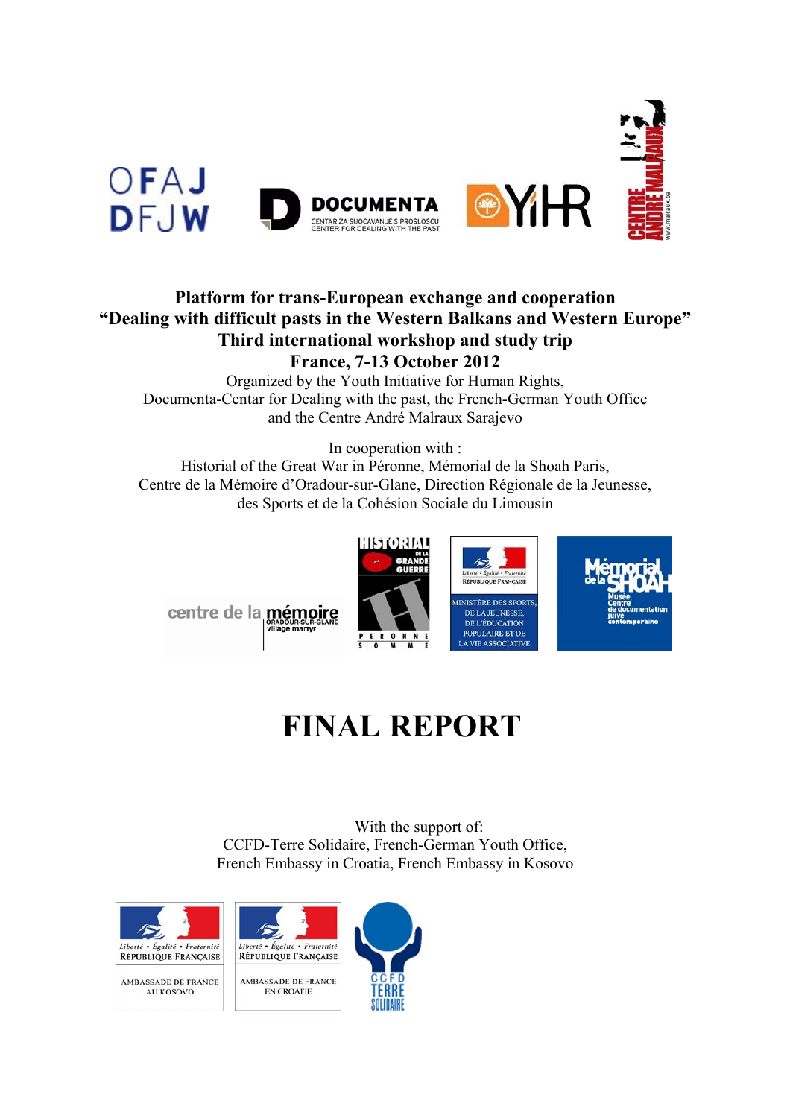

# **Platform for trans-European exchange and cooperation "Dealing with difficult pasts in the Western Balkans and Western Europe" Third international workshop and study trip France, 7-13 October 2012**

Organized by the Youth Initiative for Human Rights, Documenta-Centar for Dealing with the past, the French-German Youth Office and the Centre André Malraux Sarajevo

In cooperation with :

Historial of the Great War in Péronne, Mémorial de la Shoah Paris, Centre de la Mémoire d'Oradour-sur-Glane, Direction Régionale de la Jeunesse, des Sports et de la Cohésion Sociale du Limousin



# **FINAL REPORT**

With the support of: CCFD-Terre Solidaire, French-German Youth Office, French Embassy in Croatia, French Embassy in Kosovo

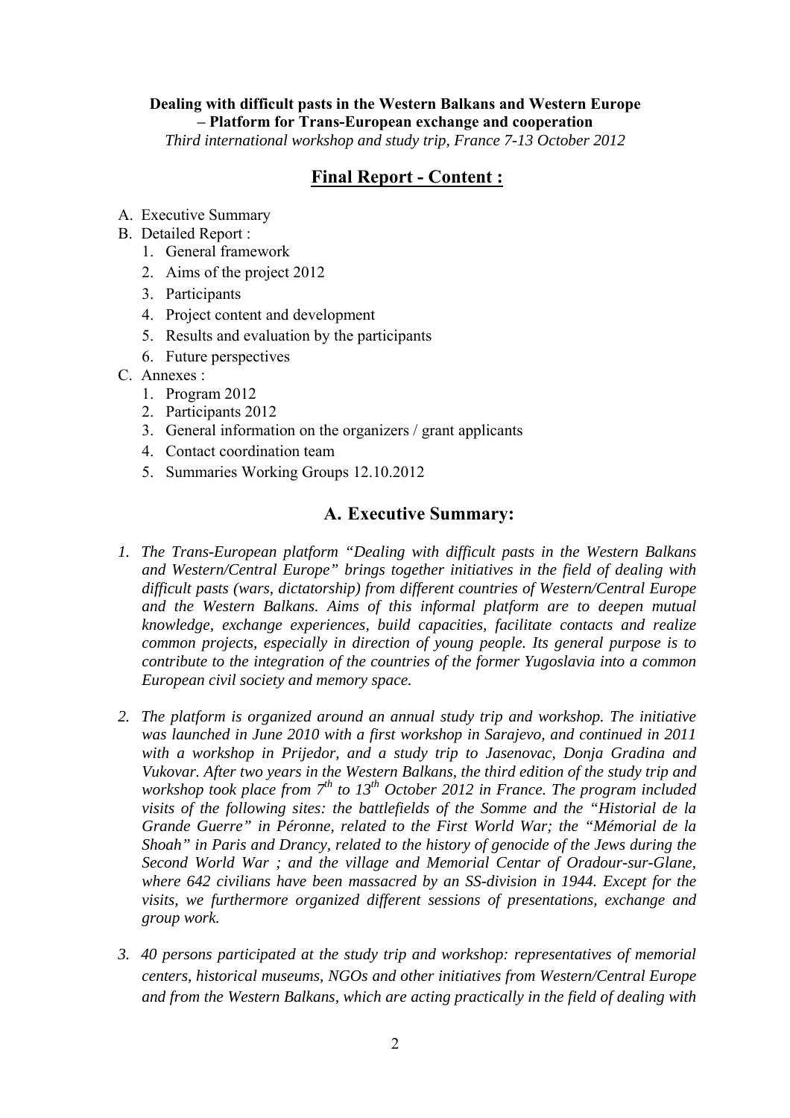# **Dealing with difficult pasts in the Western Balkans and Western Europe – Platform for Trans-European exchange and cooperation**

*Third international workshop and study trip, France 7-13 October 2012* 

# **Final Report - Content :**

- A. Executive Summary
- B. Detailed Report :
	- 1. General framework
	- 2. Aims of the project 2012
	- 3. Participants
	- 4. Project content and development
	- 5. Results and evaluation by the participants
	- 6. Future perspectives
- C. Annexes :
	- 1. Program 2012
	- 2. Participants 2012
	- 3. General information on the organizers / grant applicants
	- 4. Contact coordination team
	- 5. Summaries Working Groups 12.10.2012

# **A. Executive Summary:**

- *1. The Trans-European platform "Dealing with difficult pasts in the Western Balkans and Western/Central Europe" brings together initiatives in the field of dealing with difficult pasts (wars, dictatorship) from different countries of Western/Central Europe and the Western Balkans. Aims of this informal platform are to deepen mutual knowledge, exchange experiences, build capacities, facilitate contacts and realize common projects, especially in direction of young people. Its general purpose is to contribute to the integration of the countries of the former Yugoslavia into a common European civil society and memory space.*
- *2. The platform is organized around an annual study trip and workshop. The initiative was launched in June 2010 with a first workshop in Sarajevo, and continued in 2011 with a workshop in Prijedor, and a study trip to Jasenovac, Donja Gradina and Vukovar. After two years in the Western Balkans, the third edition of the study trip and workshop took place from* 7<sup>th</sup> to 13<sup>th</sup> October 2012 in France. The program included *visits of the following sites: the battlefields of the Somme and the "Historial de la Grande Guerre" in Péronne, related to the First World War; the "Mémorial de la Shoah" in Paris and Drancy, related to the history of genocide of the Jews during the Second World War ; and the village and Memorial Centar of Oradour-sur-Glane, where 642 civilians have been massacred by an SS-division in 1944. Except for the visits, we furthermore organized different sessions of presentations, exchange and group work.*
- *3. 40 persons participated at the study trip and workshop: representatives of memorial centers, historical museums, NGOs and other initiatives from Western/Central Europe and from the Western Balkans, which are acting practically in the field of dealing with*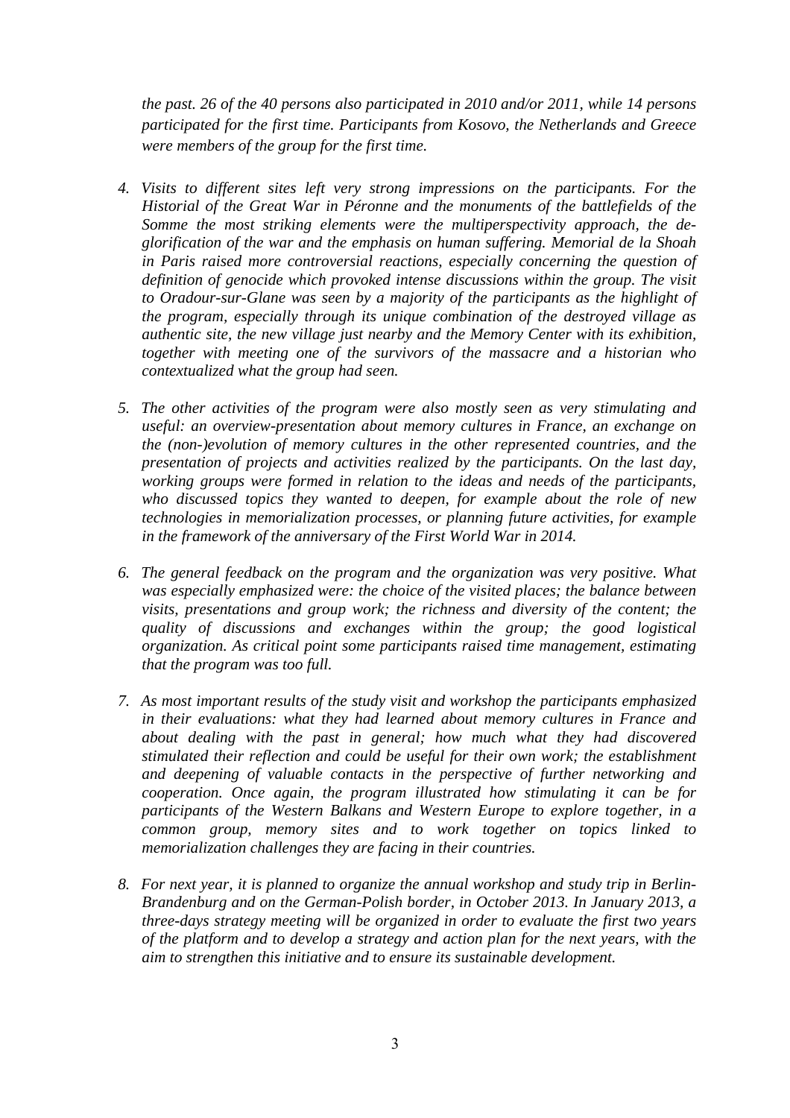*the past. 26 of the 40 persons also participated in 2010 and/or 2011, while 14 persons participated for the first time. Participants from Kosovo, the Netherlands and Greece were members of the group for the first time.* 

- *4. Visits to different sites left very strong impressions on the participants. For the Historial of the Great War in Péronne and the monuments of the battlefields of the Somme the most striking elements were the multiperspectivity approach, the deglorification of the war and the emphasis on human suffering. Memorial de la Shoah in Paris raised more controversial reactions, especially concerning the question of definition of genocide which provoked intense discussions within the group. The visit to Oradour-sur-Glane was seen by a majority of the participants as the highlight of the program, especially through its unique combination of the destroyed village as authentic site, the new village just nearby and the Memory Center with its exhibition, together with meeting one of the survivors of the massacre and a historian who contextualized what the group had seen.*
- *5. The other activities of the program were also mostly seen as very stimulating and useful: an overview-presentation about memory cultures in France, an exchange on the (non-)evolution of memory cultures in the other represented countries, and the presentation of projects and activities realized by the participants. On the last day, working groups were formed in relation to the ideas and needs of the participants, who discussed topics they wanted to deepen, for example about the role of new technologies in memorialization processes, or planning future activities, for example in the framework of the anniversary of the First World War in 2014.*
- *6. The general feedback on the program and the organization was very positive. What was especially emphasized were: the choice of the visited places; the balance between visits, presentations and group work; the richness and diversity of the content; the quality of discussions and exchanges within the group; the good logistical organization. As critical point some participants raised time management, estimating that the program was too full.*
- *7. As most important results of the study visit and workshop the participants emphasized in their evaluations: what they had learned about memory cultures in France and about dealing with the past in general; how much what they had discovered stimulated their reflection and could be useful for their own work; the establishment and deepening of valuable contacts in the perspective of further networking and cooperation. Once again, the program illustrated how stimulating it can be for participants of the Western Balkans and Western Europe to explore together, in a common group, memory sites and to work together on topics linked to memorialization challenges they are facing in their countries.*
- *8. For next year, it is planned to organize the annual workshop and study trip in Berlin-Brandenburg and on the German-Polish border, in October 2013. In January 2013, a three-days strategy meeting will be organized in order to evaluate the first two years of the platform and to develop a strategy and action plan for the next years, with the aim to strengthen this initiative and to ensure its sustainable development.*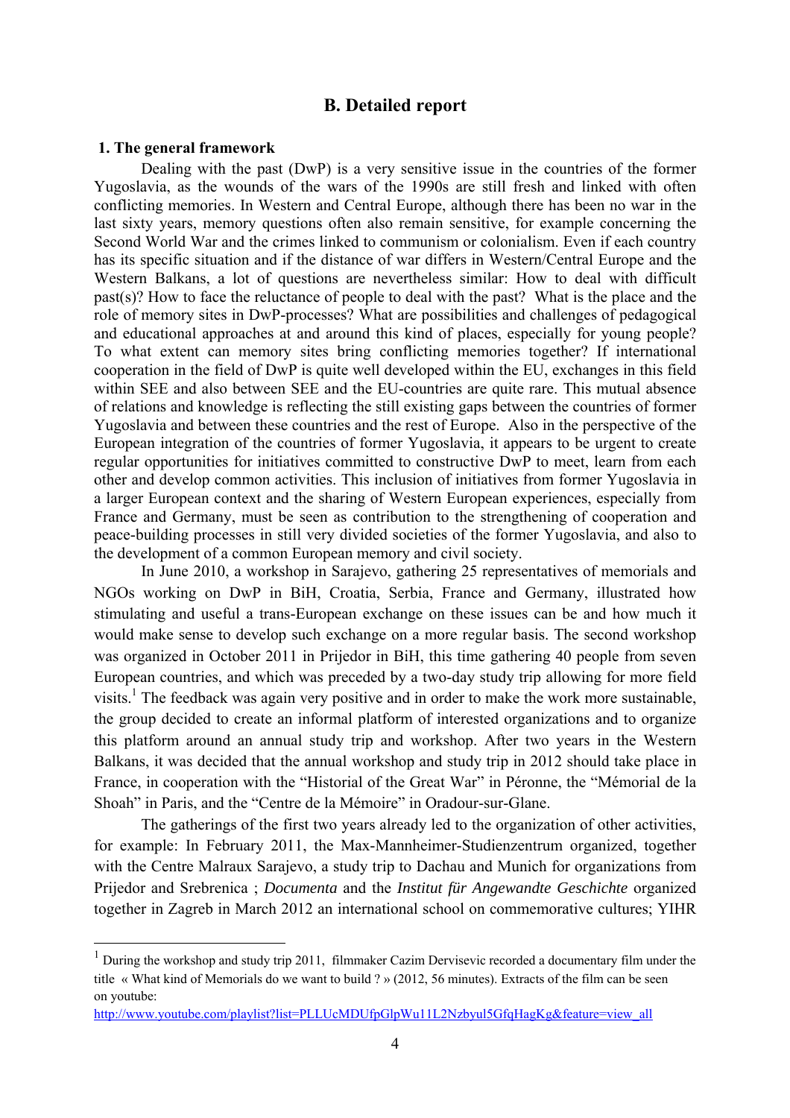#### **B. Detailed report**

#### **1. The general framework**

1

Dealing with the past (DwP) is a very sensitive issue in the countries of the former Yugoslavia, as the wounds of the wars of the 1990s are still fresh and linked with often conflicting memories. In Western and Central Europe, although there has been no war in the last sixty years, memory questions often also remain sensitive, for example concerning the Second World War and the crimes linked to communism or colonialism. Even if each country has its specific situation and if the distance of war differs in Western/Central Europe and the Western Balkans, a lot of questions are nevertheless similar: How to deal with difficult past(s)? How to face the reluctance of people to deal with the past? What is the place and the role of memory sites in DwP-processes? What are possibilities and challenges of pedagogical and educational approaches at and around this kind of places, especially for young people? To what extent can memory sites bring conflicting memories together? If international cooperation in the field of DwP is quite well developed within the EU, exchanges in this field within SEE and also between SEE and the EU-countries are quite rare. This mutual absence of relations and knowledge is reflecting the still existing gaps between the countries of former Yugoslavia and between these countries and the rest of Europe. Also in the perspective of the European integration of the countries of former Yugoslavia, it appears to be urgent to create regular opportunities for initiatives committed to constructive DwP to meet, learn from each other and develop common activities. This inclusion of initiatives from former Yugoslavia in a larger European context and the sharing of Western European experiences, especially from France and Germany, must be seen as contribution to the strengthening of cooperation and peace-building processes in still very divided societies of the former Yugoslavia, and also to the development of a common European memory and civil society.

In June 2010, a workshop in Sarajevo, gathering 25 representatives of memorials and NGOs working on DwP in BiH, Croatia, Serbia, France and Germany, illustrated how stimulating and useful a trans-European exchange on these issues can be and how much it would make sense to develop such exchange on a more regular basis. The second workshop was organized in October 2011 in Prijedor in BiH, this time gathering 40 people from seven European countries, and which was preceded by a two-day study trip allowing for more field visits.<sup>1</sup> The feedback was again very positive and in order to make the work more sustainable, the group decided to create an informal platform of interested organizations and to organize this platform around an annual study trip and workshop. After two years in the Western Balkans, it was decided that the annual workshop and study trip in 2012 should take place in France, in cooperation with the "Historial of the Great War" in Péronne, the "Mémorial de la Shoah" in Paris, and the "Centre de la Mémoire" in Oradour-sur-Glane.

The gatherings of the first two years already led to the organization of other activities, for example: In February 2011, the Max-Mannheimer-Studienzentrum organized, together with the Centre Malraux Sarajevo, a study trip to Dachau and Munich for organizations from Prijedor and Srebrenica ; *Documenta* and the *Institut für Angewandte Geschichte* organized together in Zagreb in March 2012 an international school on commemorative cultures; YIHR

<sup>&</sup>lt;sup>1</sup> During the workshop and study trip 2011, filmmaker Cazim Dervisevic recorded a documentary film under the title « What kind of Memorials do we want to build ? » (2012, 56 minutes). Extracts of the film can be seen on youtube:

http://www.youtube.com/playlist?list=PLLUcMDUfpGlpWu11L2Nzbyul5GfqHagKg&feature=view\_all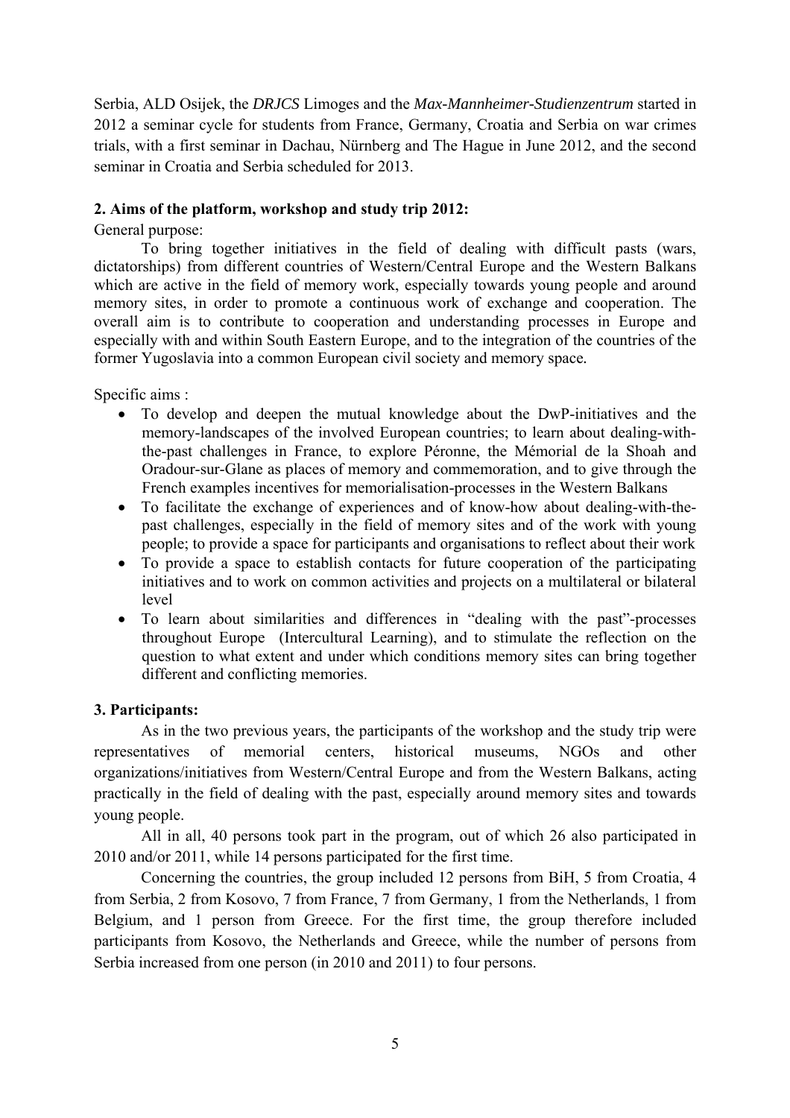Serbia, ALD Osijek, the *DRJCS* Limoges and the *Max-Mannheimer-Studienzentrum* started in 2012 a seminar cycle for students from France, Germany, Croatia and Serbia on war crimes trials, with a first seminar in Dachau, Nürnberg and The Hague in June 2012, and the second seminar in Croatia and Serbia scheduled for 2013.

#### **2. Aims of the platform, workshop and study trip 2012:**

General purpose:

To bring together initiatives in the field of dealing with difficult pasts (wars, dictatorships) from different countries of Western/Central Europe and the Western Balkans which are active in the field of memory work, especially towards young people and around memory sites, in order to promote a continuous work of exchange and cooperation. The overall aim is to contribute to cooperation and understanding processes in Europe and especially with and within South Eastern Europe, and to the integration of the countries of the former Yugoslavia into a common European civil society and memory space*.*

Specific aims :

- To develop and deepen the mutual knowledge about the DwP-initiatives and the memory-landscapes of the involved European countries; to learn about dealing-withthe-past challenges in France, to explore Péronne, the Mémorial de la Shoah and Oradour-sur-Glane as places of memory and commemoration, and to give through the French examples incentives for memorialisation-processes in the Western Balkans
- To facilitate the exchange of experiences and of know-how about dealing-with-thepast challenges, especially in the field of memory sites and of the work with young people; to provide a space for participants and organisations to reflect about their work
- To provide a space to establish contacts for future cooperation of the participating initiatives and to work on common activities and projects on a multilateral or bilateral level
- To learn about similarities and differences in "dealing with the past"-processes throughout Europe (Intercultural Learning), and to stimulate the reflection on the question to what extent and under which conditions memory sites can bring together different and conflicting memories.

#### **3. Participants:**

As in the two previous years, the participants of the workshop and the study trip were representatives of memorial centers, historical museums, NGOs and other organizations/initiatives from Western/Central Europe and from the Western Balkans, acting practically in the field of dealing with the past, especially around memory sites and towards young people.

All in all, 40 persons took part in the program, out of which 26 also participated in 2010 and/or 2011, while 14 persons participated for the first time.

Concerning the countries, the group included 12 persons from BiH, 5 from Croatia, 4 from Serbia, 2 from Kosovo, 7 from France, 7 from Germany, 1 from the Netherlands, 1 from Belgium, and 1 person from Greece. For the first time, the group therefore included participants from Kosovo, the Netherlands and Greece, while the number of persons from Serbia increased from one person (in 2010 and 2011) to four persons.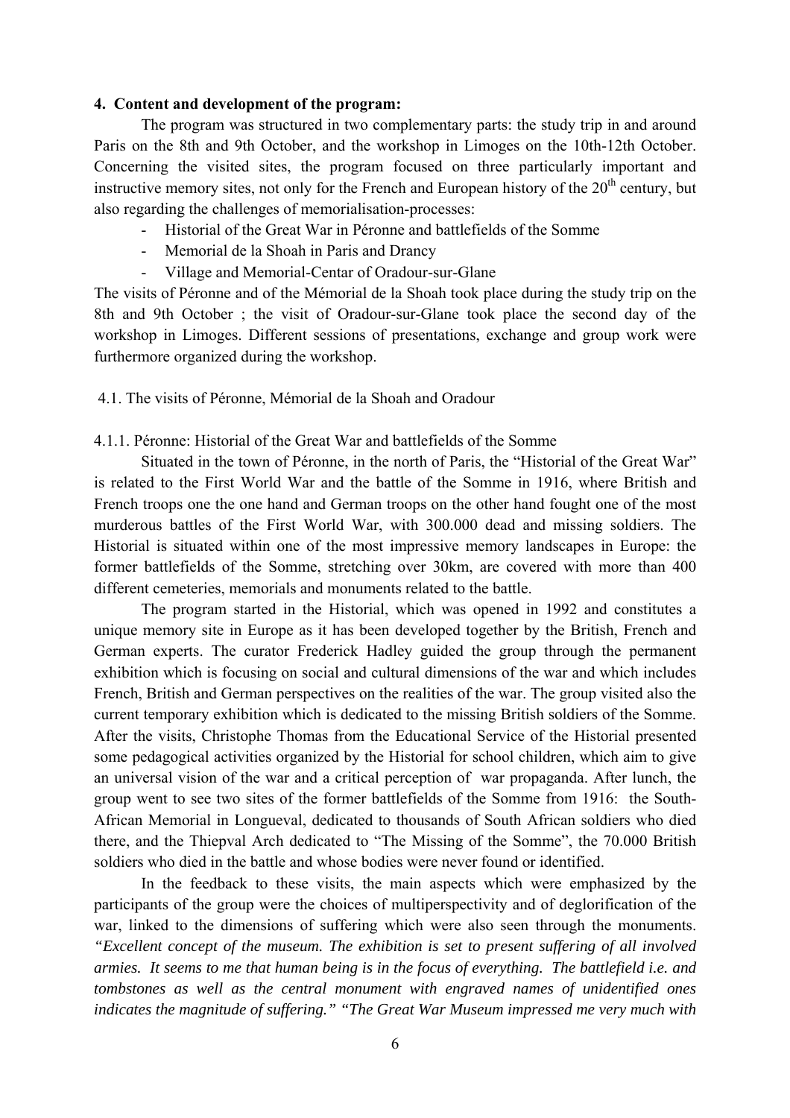#### **4. Content and development of the program:**

The program was structured in two complementary parts: the study trip in and around Paris on the 8th and 9th October, and the workshop in Limoges on the 10th-12th October. Concerning the visited sites, the program focused on three particularly important and instructive memory sites, not only for the French and European history of the  $20<sup>th</sup>$  century, but also regarding the challenges of memorialisation-processes:

- Historial of the Great War in Péronne and battlefields of the Somme
- Memorial de la Shoah in Paris and Drancy
- Village and Memorial-Centar of Oradour-sur-Glane

The visits of Péronne and of the Mémorial de la Shoah took place during the study trip on the 8th and 9th October ; the visit of Oradour-sur-Glane took place the second day of the workshop in Limoges. Different sessions of presentations, exchange and group work were furthermore organized during the workshop.

4.1. The visits of Péronne, Mémorial de la Shoah and Oradour

#### 4.1.1. Péronne: Historial of the Great War and battlefields of the Somme

Situated in the town of Péronne, in the north of Paris, the "Historial of the Great War" is related to the First World War and the battle of the Somme in 1916, where British and French troops one the one hand and German troops on the other hand fought one of the most murderous battles of the First World War, with 300.000 dead and missing soldiers. The Historial is situated within one of the most impressive memory landscapes in Europe: the former battlefields of the Somme, stretching over 30km, are covered with more than 400 different cemeteries, memorials and monuments related to the battle.

The program started in the Historial, which was opened in 1992 and constitutes a unique memory site in Europe as it has been developed together by the British, French and German experts. The curator Frederick Hadley guided the group through the permanent exhibition which is focusing on social and cultural dimensions of the war and which includes French, British and German perspectives on the realities of the war. The group visited also the current temporary exhibition which is dedicated to the missing British soldiers of the Somme. After the visits, Christophe Thomas from the Educational Service of the Historial presented some pedagogical activities organized by the Historial for school children, which aim to give an universal vision of the war and a critical perception of war propaganda. After lunch, the group went to see two sites of the former battlefields of the Somme from 1916: the South-African Memorial in Longueval, dedicated to thousands of South African soldiers who died there, and the Thiepval Arch dedicated to "The Missing of the Somme", the 70.000 British soldiers who died in the battle and whose bodies were never found or identified.

In the feedback to these visits, the main aspects which were emphasized by the participants of the group were the choices of multiperspectivity and of deglorification of the war, linked to the dimensions of suffering which were also seen through the monuments. *"Excellent concept of the museum. The exhibition is set to present suffering of all involved armies. It seems to me that human being is in the focus of everything. The battlefield i.e. and tombstones as well as the central monument with engraved names of unidentified ones indicates the magnitude of suffering." "The Great War Museum impressed me very much with*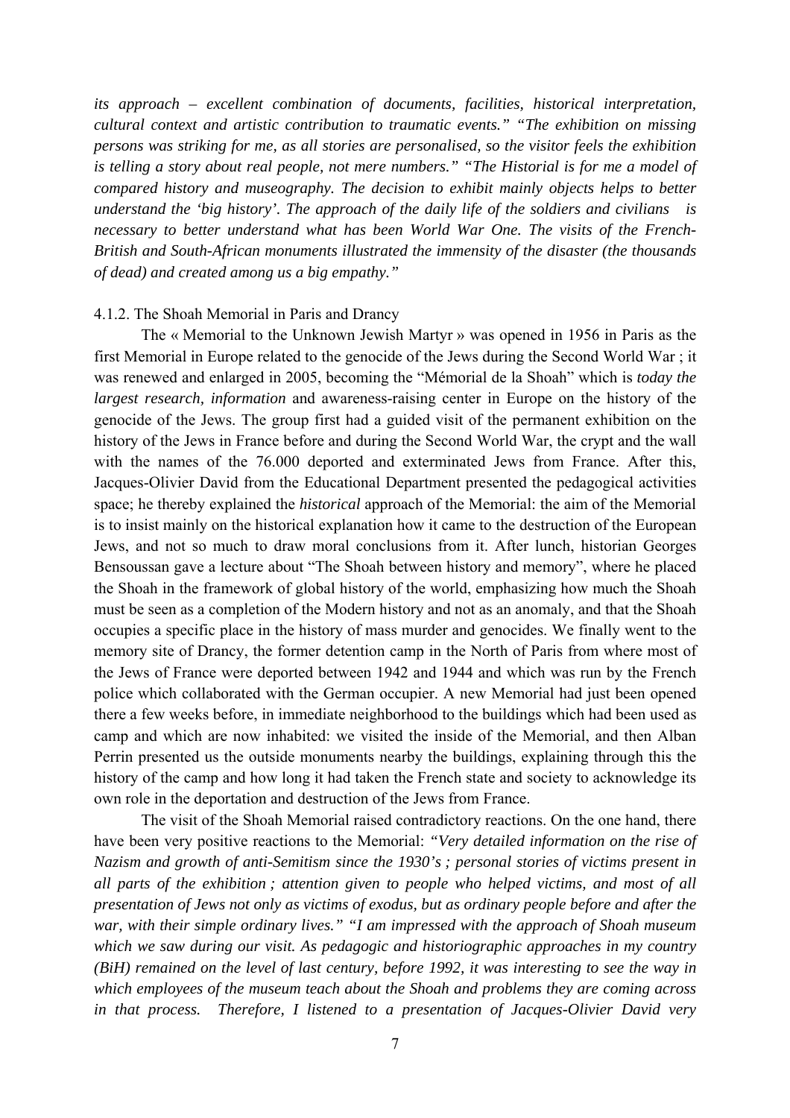*its approach – excellent combination of documents, facilities, historical interpretation, cultural context and artistic contribution to traumatic events." "The exhibition on missing persons was striking for me, as all stories are personalised, so the visitor feels the exhibition is telling a story about real people, not mere numbers." "The Historial is for me a model of compared history and museography. The decision to exhibit mainly objects helps to better understand the 'big history'. The approach of the daily life of the soldiers and civilians is necessary to better understand what has been World War One. The visits of the French-British and South-African monuments illustrated the immensity of the disaster (the thousands of dead) and created among us a big empathy."*

#### 4.1.2. The Shoah Memorial in Paris and Drancy

The « Memorial to the Unknown Jewish Martyr » was opened in 1956 in Paris as the first Memorial in Europe related to the genocide of the Jews during the Second World War ; it was renewed and enlarged in 2005, becoming the "Mémorial de la Shoah" which is *today the largest research, information* and awareness-raising center in Europe on the history of the genocide of the Jews. The group first had a guided visit of the permanent exhibition on the history of the Jews in France before and during the Second World War, the crypt and the wall with the names of the 76.000 deported and exterminated Jews from France. After this, Jacques-Olivier David from the Educational Department presented the pedagogical activities space; he thereby explained the *historical* approach of the Memorial: the aim of the Memorial is to insist mainly on the historical explanation how it came to the destruction of the European Jews, and not so much to draw moral conclusions from it. After lunch, historian Georges Bensoussan gave a lecture about "The Shoah between history and memory", where he placed the Shoah in the framework of global history of the world, emphasizing how much the Shoah must be seen as a completion of the Modern history and not as an anomaly, and that the Shoah occupies a specific place in the history of mass murder and genocides. We finally went to the memory site of Drancy, the former detention camp in the North of Paris from where most of the Jews of France were deported between 1942 and 1944 and which was run by the French police which collaborated with the German occupier. A new Memorial had just been opened there a few weeks before, in immediate neighborhood to the buildings which had been used as camp and which are now inhabited: we visited the inside of the Memorial, and then Alban Perrin presented us the outside monuments nearby the buildings, explaining through this the history of the camp and how long it had taken the French state and society to acknowledge its own role in the deportation and destruction of the Jews from France.

The visit of the Shoah Memorial raised contradictory reactions. On the one hand, there have been very positive reactions to the Memorial: *"Very detailed information on the rise of Nazism and growth of anti-Semitism since the 1930's ; personal stories of victims present in all parts of the exhibition ; attention given to people who helped victims, and most of all presentation of Jews not only as victims of exodus, but as ordinary people before and after the war, with their simple ordinary lives." "I am impressed with the approach of Shoah museum which we saw during our visit. As pedagogic and historiographic approaches in my country (BiH) remained on the level of last century, before 1992, it was interesting to see the way in which employees of the museum teach about the Shoah and problems they are coming across in that process. Therefore, I listened to a presentation of Jacques-Olivier David very*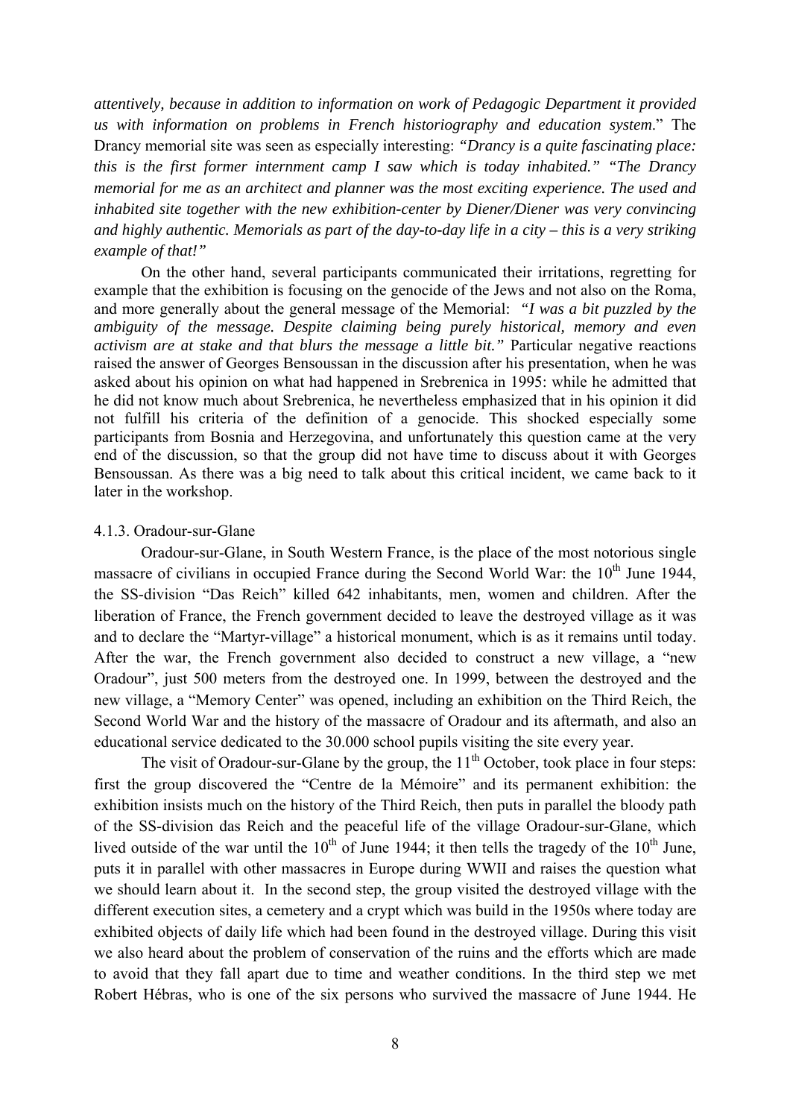*attentively, because in addition to information on work of Pedagogic Department it provided us with information on problems in French historiography and education system*." The Drancy memorial site was seen as especially interesting: *"Drancy is a quite fascinating place: this is the first former internment camp I saw which is today inhabited." "The Drancy memorial for me as an architect and planner was the most exciting experience. The used and inhabited site together with the new exhibition-center by Diener/Diener was very convincing and highly authentic. Memorials as part of the day-to-day life in a city – this is a very striking example of that!"*

On the other hand, several participants communicated their irritations, regretting for example that the exhibition is focusing on the genocide of the Jews and not also on the Roma, and more generally about the general message of the Memorial: *"I was a bit puzzled by the ambiguity of the message. Despite claiming being purely historical, memory and even activism are at stake and that blurs the message a little bit."* Particular negative reactions raised the answer of Georges Bensoussan in the discussion after his presentation, when he was asked about his opinion on what had happened in Srebrenica in 1995: while he admitted that he did not know much about Srebrenica, he nevertheless emphasized that in his opinion it did not fulfill his criteria of the definition of a genocide. This shocked especially some participants from Bosnia and Herzegovina, and unfortunately this question came at the very end of the discussion, so that the group did not have time to discuss about it with Georges Bensoussan. As there was a big need to talk about this critical incident, we came back to it later in the workshop.

#### 4.1.3. Oradour-sur-Glane

Oradour-sur-Glane, in South Western France, is the place of the most notorious single massacre of civilians in occupied France during the Second World War: the  $10<sup>th</sup>$  June 1944. the SS-division "Das Reich" killed 642 inhabitants, men, women and children. After the liberation of France, the French government decided to leave the destroyed village as it was and to declare the "Martyr-village" a historical monument, which is as it remains until today. After the war, the French government also decided to construct a new village, a "new Oradour", just 500 meters from the destroyed one. In 1999, between the destroyed and the new village, a "Memory Center" was opened, including an exhibition on the Third Reich, the Second World War and the history of the massacre of Oradour and its aftermath, and also an educational service dedicated to the 30.000 school pupils visiting the site every year.

The visit of Oradour-sur-Glane by the group, the  $11<sup>th</sup>$  October, took place in four steps: first the group discovered the "Centre de la Mémoire" and its permanent exhibition: the exhibition insists much on the history of the Third Reich, then puts in parallel the bloody path of the SS-division das Reich and the peaceful life of the village Oradour-sur-Glane, which lived outside of the war until the  $10^{th}$  of June 1944; it then tells the tragedy of the  $10^{th}$  June, puts it in parallel with other massacres in Europe during WWII and raises the question what we should learn about it. In the second step, the group visited the destroyed village with the different execution sites, a cemetery and a crypt which was build in the 1950s where today are exhibited objects of daily life which had been found in the destroyed village. During this visit we also heard about the problem of conservation of the ruins and the efforts which are made to avoid that they fall apart due to time and weather conditions. In the third step we met Robert Hébras, who is one of the six persons who survived the massacre of June 1944. He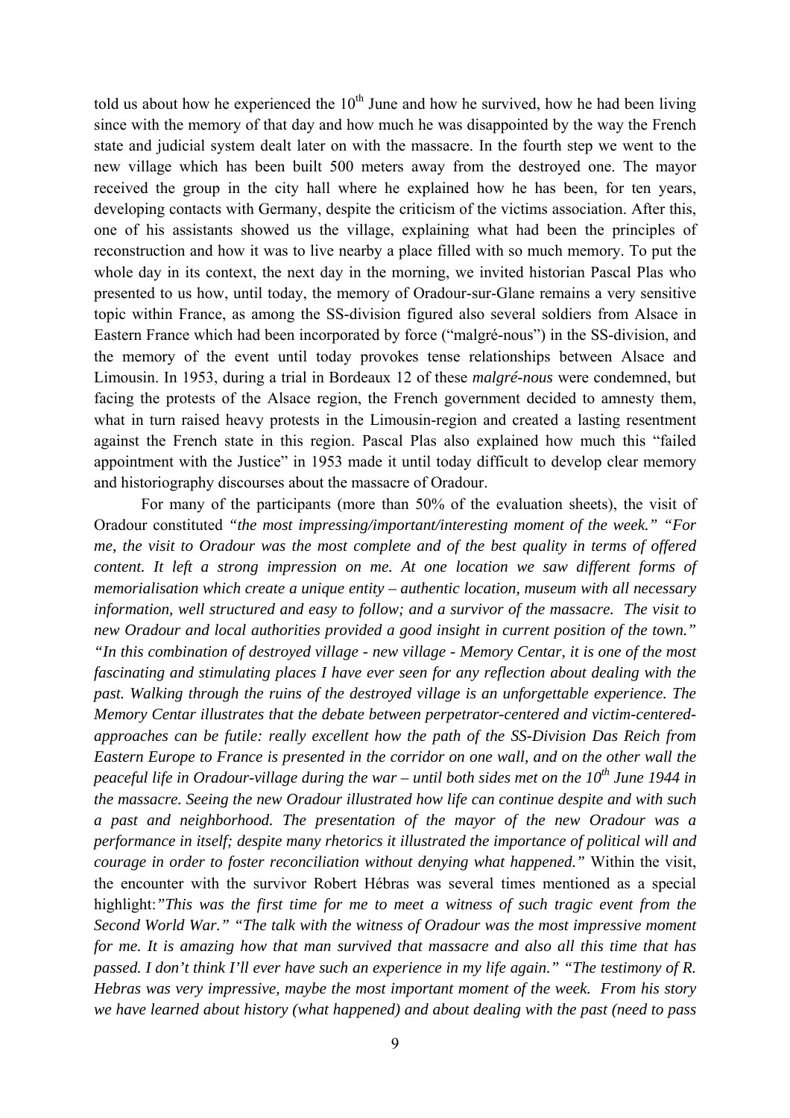told us about how he experienced the  $10<sup>th</sup>$  June and how he survived, how he had been living since with the memory of that day and how much he was disappointed by the way the French state and judicial system dealt later on with the massacre. In the fourth step we went to the new village which has been built 500 meters away from the destroyed one. The mayor received the group in the city hall where he explained how he has been, for ten years, developing contacts with Germany, despite the criticism of the victims association. After this, one of his assistants showed us the village, explaining what had been the principles of reconstruction and how it was to live nearby a place filled with so much memory. To put the whole day in its context, the next day in the morning, we invited historian Pascal Plas who presented to us how, until today, the memory of Oradour-sur-Glane remains a very sensitive topic within France, as among the SS-division figured also several soldiers from Alsace in Eastern France which had been incorporated by force ("malgré-nous") in the SS-division, and the memory of the event until today provokes tense relationships between Alsace and Limousin. In 1953, during a trial in Bordeaux 12 of these *malgré-nous* were condemned, but facing the protests of the Alsace region, the French government decided to amnesty them, what in turn raised heavy protests in the Limousin-region and created a lasting resentment against the French state in this region. Pascal Plas also explained how much this "failed appointment with the Justice" in 1953 made it until today difficult to develop clear memory and historiography discourses about the massacre of Oradour.

 For many of the participants (more than 50% of the evaluation sheets), the visit of Oradour constituted *"the most impressing/important/interesting moment of the week." "For me, the visit to Oradour was the most complete and of the best quality in terms of offered content. It left a strong impression on me. At one location we saw different forms of memorialisation which create a unique entity – authentic location, museum with all necessary information, well structured and easy to follow; and a survivor of the massacre. The visit to new Oradour and local authorities provided a good insight in current position of the town." "In this combination of destroyed village - new village - Memory Centar, it is one of the most fascinating and stimulating places I have ever seen for any reflection about dealing with the past. Walking through the ruins of the destroyed village is an unforgettable experience. The Memory Centar illustrates that the debate between perpetrator-centered and victim-centeredapproaches can be futile: really excellent how the path of the SS-Division Das Reich from Eastern Europe to France is presented in the corridor on one wall, and on the other wall the peaceful life in Oradour-village during the war – until both sides met on the 10<sup>th</sup> June 1944 in the massacre. Seeing the new Oradour illustrated how life can continue despite and with such a past and neighborhood. The presentation of the mayor of the new Oradour was a performance in itself; despite many rhetorics it illustrated the importance of political will and courage in order to foster reconciliation without denying what happened."* Within the visit, the encounter with the survivor Robert Hébras was several times mentioned as a special highlight:*"This was the first time for me to meet a witness of such tragic event from the Second World War." "The talk with the witness of Oradour was the most impressive moment for me. It is amazing how that man survived that massacre and also all this time that has passed. I don't think I'll ever have such an experience in my life again." "The testimony of R. Hebras was very impressive, maybe the most important moment of the week. From his story we have learned about history (what happened) and about dealing with the past (need to pass*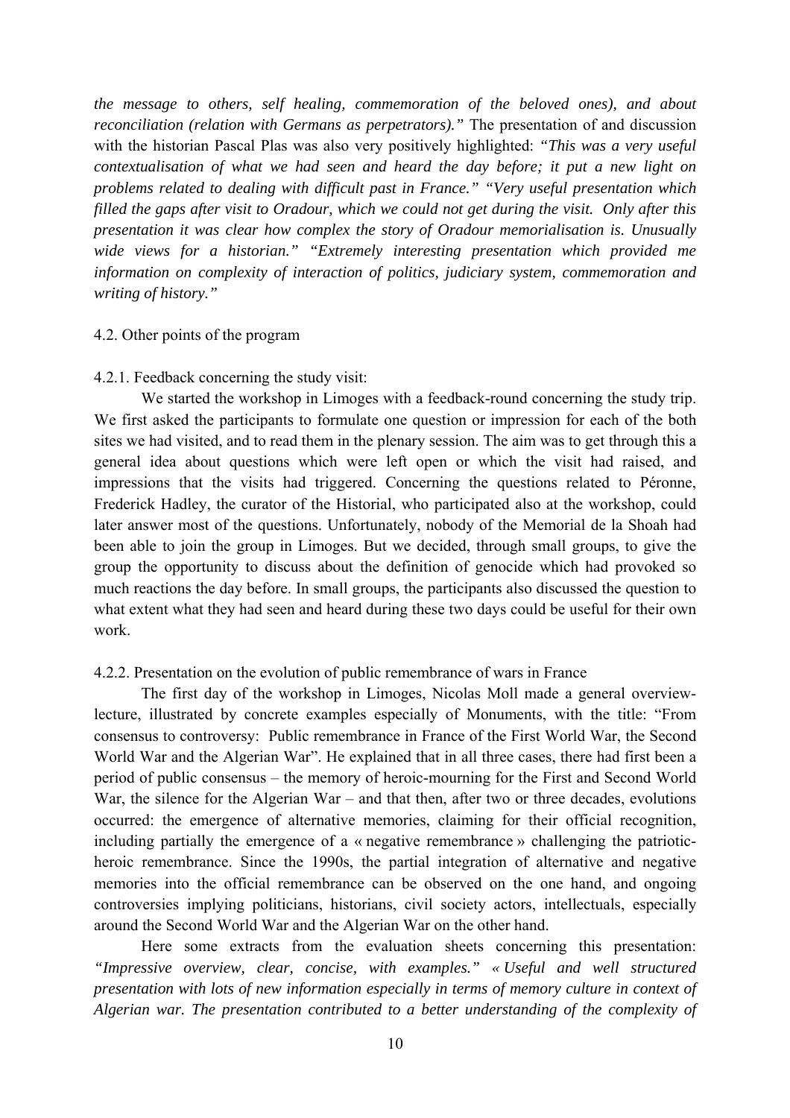*the message to others, self healing, commemoration of the beloved ones), and about reconciliation (relation with Germans as perpetrators)."* The presentation of and discussion with the historian Pascal Plas was also very positively highlighted: *"This was a very useful contextualisation of what we had seen and heard the day before; it put a new light on problems related to dealing with difficult past in France." "Very useful presentation which filled the gaps after visit to Oradour, which we could not get during the visit. Only after this presentation it was clear how complex the story of Oradour memorialisation is. Unusually wide views for a historian." "Extremely interesting presentation which provided me information on complexity of interaction of politics, judiciary system, commemoration and writing of history."*

#### 4.2. Other points of the program

#### 4.2.1. Feedback concerning the study visit:

We started the workshop in Limoges with a feedback-round concerning the study trip. We first asked the participants to formulate one question or impression for each of the both sites we had visited, and to read them in the plenary session. The aim was to get through this a general idea about questions which were left open or which the visit had raised, and impressions that the visits had triggered. Concerning the questions related to Péronne, Frederick Hadley, the curator of the Historial, who participated also at the workshop, could later answer most of the questions. Unfortunately, nobody of the Memorial de la Shoah had been able to join the group in Limoges. But we decided, through small groups, to give the group the opportunity to discuss about the definition of genocide which had provoked so much reactions the day before. In small groups, the participants also discussed the question to what extent what they had seen and heard during these two days could be useful for their own work.

#### 4.2.2. Presentation on the evolution of public remembrance of wars in France

The first day of the workshop in Limoges, Nicolas Moll made a general overviewlecture, illustrated by concrete examples especially of Monuments, with the title: "From consensus to controversy: Public remembrance in France of the First World War, the Second World War and the Algerian War". He explained that in all three cases, there had first been a period of public consensus – the memory of heroic-mourning for the First and Second World War, the silence for the Algerian War – and that then, after two or three decades, evolutions occurred: the emergence of alternative memories, claiming for their official recognition, including partially the emergence of a « negative remembrance » challenging the patrioticheroic remembrance. Since the 1990s, the partial integration of alternative and negative memories into the official remembrance can be observed on the one hand, and ongoing controversies implying politicians, historians, civil society actors, intellectuals, especially around the Second World War and the Algerian War on the other hand.

Here some extracts from the evaluation sheets concerning this presentation: *"Impressive overview, clear, concise, with examples." « Useful and well structured presentation with lots of new information especially in terms of memory culture in context of Algerian war. The presentation contributed to a better understanding of the complexity of*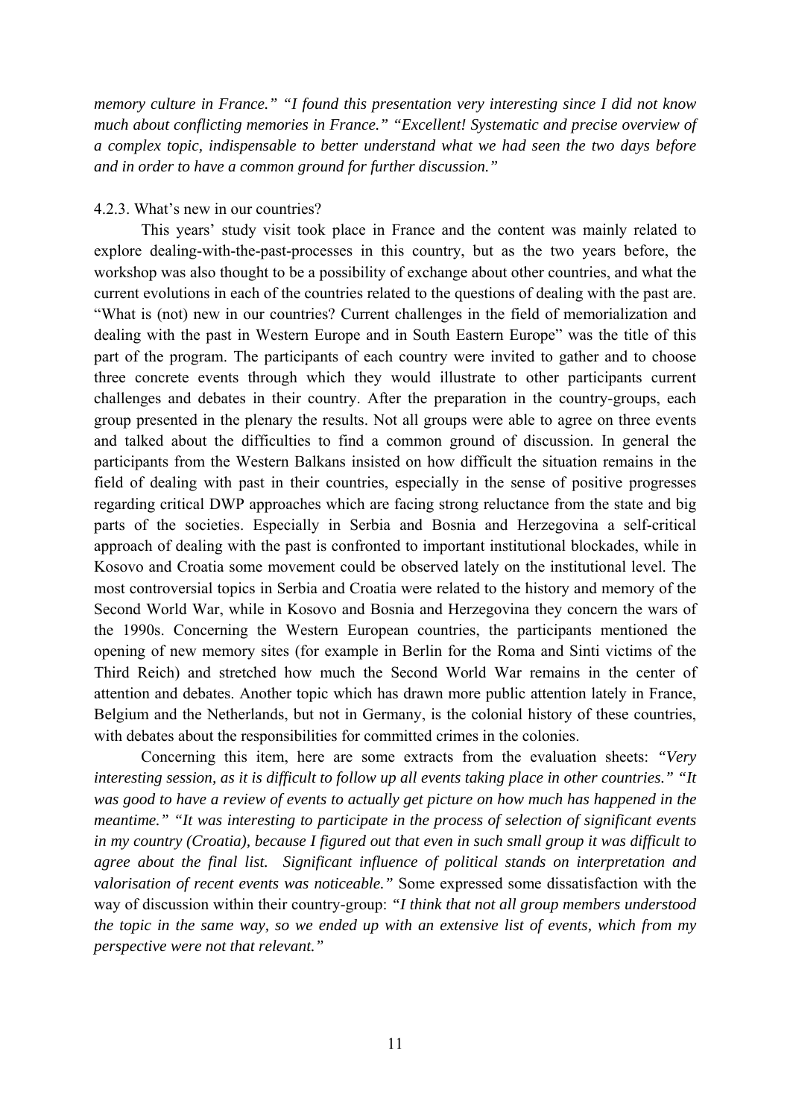*memory culture in France." "I found this presentation very interesting since I did not know much about conflicting memories in France." "Excellent! Systematic and precise overview of a complex topic, indispensable to better understand what we had seen the two days before and in order to have a common ground for further discussion."*

#### 4.2.3. What's new in our countries?

This years' study visit took place in France and the content was mainly related to explore dealing-with-the-past-processes in this country, but as the two years before, the workshop was also thought to be a possibility of exchange about other countries, and what the current evolutions in each of the countries related to the questions of dealing with the past are. "What is (not) new in our countries? Current challenges in the field of memorialization and dealing with the past in Western Europe and in South Eastern Europe" was the title of this part of the program. The participants of each country were invited to gather and to choose three concrete events through which they would illustrate to other participants current challenges and debates in their country. After the preparation in the country-groups, each group presented in the plenary the results. Not all groups were able to agree on three events and talked about the difficulties to find a common ground of discussion. In general the participants from the Western Balkans insisted on how difficult the situation remains in the field of dealing with past in their countries, especially in the sense of positive progresses regarding critical DWP approaches which are facing strong reluctance from the state and big parts of the societies. Especially in Serbia and Bosnia and Herzegovina a self-critical approach of dealing with the past is confronted to important institutional blockades, while in Kosovo and Croatia some movement could be observed lately on the institutional level. The most controversial topics in Serbia and Croatia were related to the history and memory of the Second World War, while in Kosovo and Bosnia and Herzegovina they concern the wars of the 1990s. Concerning the Western European countries, the participants mentioned the opening of new memory sites (for example in Berlin for the Roma and Sinti victims of the Third Reich) and stretched how much the Second World War remains in the center of attention and debates. Another topic which has drawn more public attention lately in France, Belgium and the Netherlands, but not in Germany, is the colonial history of these countries, with debates about the responsibilities for committed crimes in the colonies.

Concerning this item, here are some extracts from the evaluation sheets: *"Very interesting session, as it is difficult to follow up all events taking place in other countries." "It was good to have a review of events to actually get picture on how much has happened in the meantime." "It was interesting to participate in the process of selection of significant events in my country (Croatia), because I figured out that even in such small group it was difficult to agree about the final list. Significant influence of political stands on interpretation and valorisation of recent events was noticeable."* Some expressed some dissatisfaction with the way of discussion within their country-group: *"I think that not all group members understood the topic in the same way, so we ended up with an extensive list of events, which from my perspective were not that relevant."*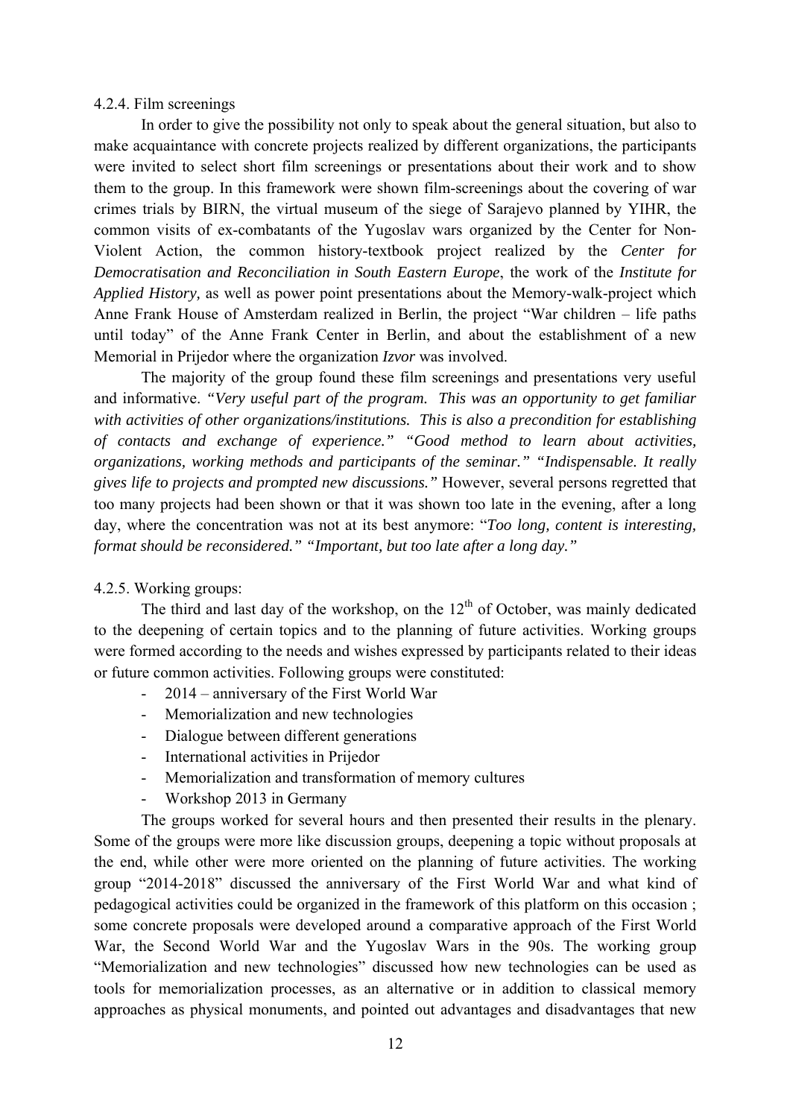#### 4.2.4. Film screenings

In order to give the possibility not only to speak about the general situation, but also to make acquaintance with concrete projects realized by different organizations, the participants were invited to select short film screenings or presentations about their work and to show them to the group. In this framework were shown film-screenings about the covering of war crimes trials by BIRN, the virtual museum of the siege of Sarajevo planned by YIHR, the common visits of ex-combatants of the Yugoslav wars organized by the Center for Non-Violent Action, the common history-textbook project realized by the *Center for Democratisation and Reconciliation in South Eastern Europe*, the work of the *Institute for Applied History,* as well as power point presentations about the Memory-walk-project which Anne Frank House of Amsterdam realized in Berlin, the project "War children – life paths until today" of the Anne Frank Center in Berlin, and about the establishment of a new Memorial in Prijedor where the organization *Izvor* was involved.

The majority of the group found these film screenings and presentations very useful and informative. *"Very useful part of the program. This was an opportunity to get familiar with activities of other organizations/institutions. This is also a precondition for establishing of contacts and exchange of experience." "Good method to learn about activities, organizations, working methods and participants of the seminar." "Indispensable. It really gives life to projects and prompted new discussions."* However, several persons regretted that too many projects had been shown or that it was shown too late in the evening, after a long day, where the concentration was not at its best anymore: "*Too long, content is interesting, format should be reconsidered." "Important, but too late after a long day."*

#### 4.2.5. Working groups:

The third and last day of the workshop, on the  $12<sup>th</sup>$  of October, was mainly dedicated to the deepening of certain topics and to the planning of future activities. Working groups were formed according to the needs and wishes expressed by participants related to their ideas or future common activities. Following groups were constituted:

- 2014 anniversary of the First World War
- Memorialization and new technologies
- Dialogue between different generations
- International activities in Prijedor
- Memorialization and transformation of memory cultures
- Workshop 2013 in Germany

The groups worked for several hours and then presented their results in the plenary. Some of the groups were more like discussion groups, deepening a topic without proposals at the end, while other were more oriented on the planning of future activities. The working group "2014-2018" discussed the anniversary of the First World War and what kind of pedagogical activities could be organized in the framework of this platform on this occasion ; some concrete proposals were developed around a comparative approach of the First World War, the Second World War and the Yugoslav Wars in the 90s. The working group "Memorialization and new technologies" discussed how new technologies can be used as tools for memorialization processes, as an alternative or in addition to classical memory approaches as physical monuments, and pointed out advantages and disadvantages that new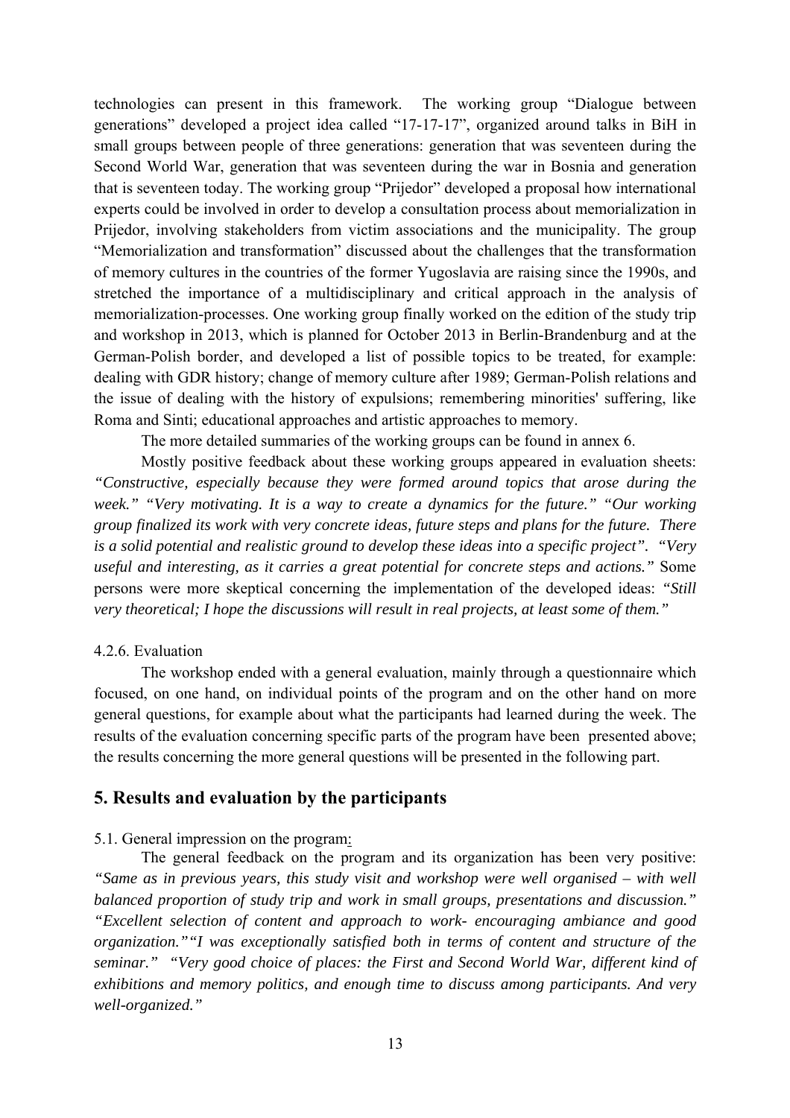technologies can present in this framework. The working group "Dialogue between generations" developed a project idea called "17-17-17", organized around talks in BiH in small groups between people of three generations: generation that was seventeen during the Second World War, generation that was seventeen during the war in Bosnia and generation that is seventeen today. The working group "Prijedor" developed a proposal how international experts could be involved in order to develop a consultation process about memorialization in Prijedor, involving stakeholders from victim associations and the municipality. The group "Memorialization and transformation" discussed about the challenges that the transformation of memory cultures in the countries of the former Yugoslavia are raising since the 1990s, and stretched the importance of a multidisciplinary and critical approach in the analysis of memorialization-processes. One working group finally worked on the edition of the study trip and workshop in 2013, which is planned for October 2013 in Berlin-Brandenburg and at the German-Polish border, and developed a list of possible topics to be treated, for example: dealing with GDR history; change of memory culture after 1989; German-Polish relations and the issue of dealing with the history of expulsions; remembering minorities' suffering, like Roma and Sinti; educational approaches and artistic approaches to memory.

The more detailed summaries of the working groups can be found in annex 6.

Mostly positive feedback about these working groups appeared in evaluation sheets: *"Constructive, especially because they were formed around topics that arose during the week." "Very motivating. It is a way to create a dynamics for the future." "Our working group finalized its work with very concrete ideas, future steps and plans for the future. There is a solid potential and realistic ground to develop these ideas into a specific project". "Very useful and interesting, as it carries a great potential for concrete steps and actions."* Some persons were more skeptical concerning the implementation of the developed ideas: *"Still very theoretical; I hope the discussions will result in real projects, at least some of them."*

#### 4.2.6. Evaluation

The workshop ended with a general evaluation, mainly through a questionnaire which focused, on one hand, on individual points of the program and on the other hand on more general questions, for example about what the participants had learned during the week. The results of the evaluation concerning specific parts of the program have been presented above; the results concerning the more general questions will be presented in the following part.

# **5. Results and evaluation by the participants**

#### 5.1. General impression on the program:

The general feedback on the program and its organization has been very positive: *"Same as in previous years, this study visit and workshop were well organised – with well balanced proportion of study trip and work in small groups, presentations and discussion." "Excellent selection of content and approach to work- encouraging ambiance and good organization.""I was exceptionally satisfied both in terms of content and structure of the seminar." "Very good choice of places: the First and Second World War, different kind of exhibitions and memory politics, and enough time to discuss among participants. And very well-organized."*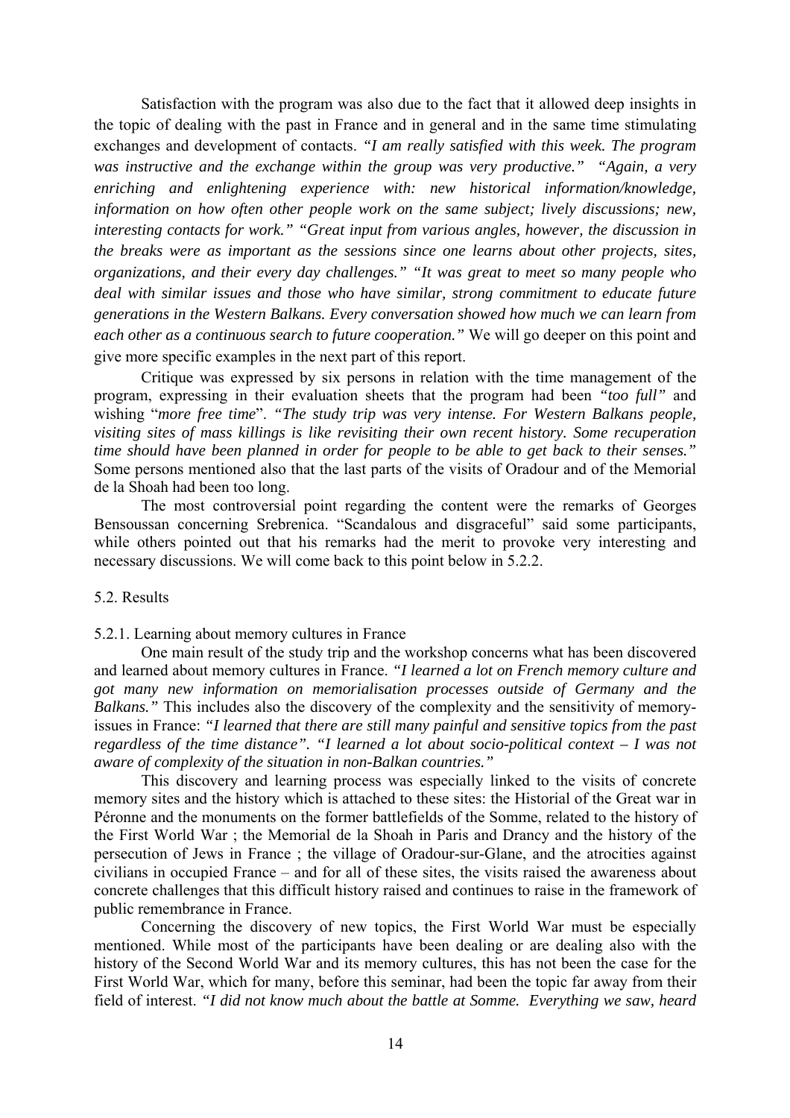Satisfaction with the program was also due to the fact that it allowed deep insights in the topic of dealing with the past in France and in general and in the same time stimulating exchanges and development of contacts. *"I am really satisfied with this week. The program was instructive and the exchange within the group was very productive." "Again, a very enriching and enlightening experience with: new historical information/knowledge, information on how often other people work on the same subject; lively discussions; new, interesting contacts for work." "Great input from various angles, however, the discussion in the breaks were as important as the sessions since one learns about other projects, sites, organizations, and their every day challenges." "It was great to meet so many people who deal with similar issues and those who have similar, strong commitment to educate future generations in the Western Balkans. Every conversation showed how much we can learn from each other as a continuous search to future cooperation."* We will go deeper on this point and give more specific examples in the next part of this report.

Critique was expressed by six persons in relation with the time management of the program, expressing in their evaluation sheets that the program had been *"too full"* and wishing "*more free time*". *"The study trip was very intense. For Western Balkans people, visiting sites of mass killings is like revisiting their own recent history. Some recuperation time should have been planned in order for people to be able to get back to their senses."*  Some persons mentioned also that the last parts of the visits of Oradour and of the Memorial de la Shoah had been too long.

The most controversial point regarding the content were the remarks of Georges Bensoussan concerning Srebrenica. "Scandalous and disgraceful" said some participants, while others pointed out that his remarks had the merit to provoke very interesting and necessary discussions. We will come back to this point below in 5.2.2.

#### 5.2. Results

5.2.1. Learning about memory cultures in France

One main result of the study trip and the workshop concerns what has been discovered and learned about memory cultures in France. *"I learned a lot on French memory culture and got many new information on memorialisation processes outside of Germany and the Balkans."* This includes also the discovery of the complexity and the sensitivity of memoryissues in France: *"I learned that there are still many painful and sensitive topics from the past regardless of the time distance". "I learned a lot about socio-political context – I was not aware of complexity of the situation in non-Balkan countries."*

This discovery and learning process was especially linked to the visits of concrete memory sites and the history which is attached to these sites: the Historial of the Great war in Péronne and the monuments on the former battlefields of the Somme, related to the history of the First World War ; the Memorial de la Shoah in Paris and Drancy and the history of the persecution of Jews in France ; the village of Oradour-sur-Glane, and the atrocities against civilians in occupied France – and for all of these sites, the visits raised the awareness about concrete challenges that this difficult history raised and continues to raise in the framework of public remembrance in France.

Concerning the discovery of new topics, the First World War must be especially mentioned. While most of the participants have been dealing or are dealing also with the history of the Second World War and its memory cultures, this has not been the case for the First World War, which for many, before this seminar, had been the topic far away from their field of interest. *"I did not know much about the battle at Somme. Everything we saw, heard*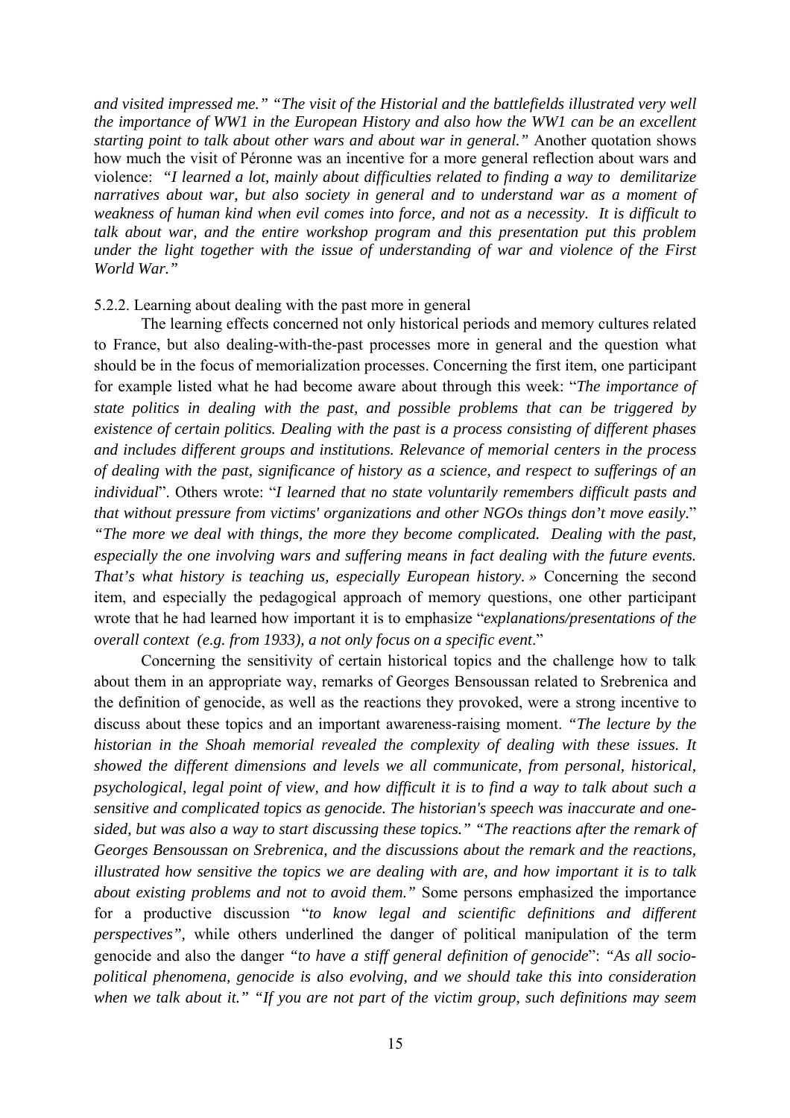*and visited impressed me." "The visit of the Historial and the battlefields illustrated very well the importance of WW1 in the European History and also how the WW1 can be an excellent starting point to talk about other wars and about war in general."* Another quotation shows how much the visit of Péronne was an incentive for a more general reflection about wars and violence: *"I learned a lot, mainly about difficulties related to finding a way to demilitarize narratives about war, but also society in general and to understand war as a moment of weakness of human kind when evil comes into force, and not as a necessity. It is difficult to talk about war, and the entire workshop program and this presentation put this problem under the light together with the issue of understanding of war and violence of the First World War."*

#### 5.2.2. Learning about dealing with the past more in general

The learning effects concerned not only historical periods and memory cultures related to France, but also dealing-with-the-past processes more in general and the question what should be in the focus of memorialization processes. Concerning the first item, one participant for example listed what he had become aware about through this week: "*The importance of state politics in dealing with the past, and possible problems that can be triggered by existence of certain politics. Dealing with the past is a process consisting of different phases and includes different groups and institutions. Relevance of memorial centers in the process of dealing with the past, significance of history as a science, and respect to sufferings of an individual*". Others wrote: "*I learned that no state voluntarily remembers difficult pasts and that without pressure from victims' organizations and other NGOs things don't move easily.*" *"The more we deal with things, the more they become complicated. Dealing with the past, especially the one involving wars and suffering means in fact dealing with the future events. That's what history is teaching us, especially European history. »* Concerning the second item, and especially the pedagogical approach of memory questions, one other participant wrote that he had learned how important it is to emphasize "*explanations/presentations of the overall context (e.g. from 1933), a not only focus on a specific event*."

Concerning the sensitivity of certain historical topics and the challenge how to talk about them in an appropriate way, remarks of Georges Bensoussan related to Srebrenica and the definition of genocide, as well as the reactions they provoked, were a strong incentive to discuss about these topics and an important awareness-raising moment. *"The lecture by the historian in the Shoah memorial revealed the complexity of dealing with these issues. It showed the different dimensions and levels we all communicate, from personal, historical, psychological, legal point of view, and how difficult it is to find a way to talk about such a sensitive and complicated topics as genocide. The historian's speech was inaccurate and onesided, but was also a way to start discussing these topics." "The reactions after the remark of Georges Bensoussan on Srebrenica, and the discussions about the remark and the reactions, illustrated how sensitive the topics we are dealing with are, and how important it is to talk about existing problems and not to avoid them."* Some persons emphasized the importance for a productive discussion "*to know legal and scientific definitions and different perspectives",* while others underlined the danger of political manipulation of the term genocide and also the danger *"to have a stiff general definition of genocide*": *"As all sociopolitical phenomena, genocide is also evolving, and we should take this into consideration when we talk about it." "If you are not part of the victim group, such definitions may seem*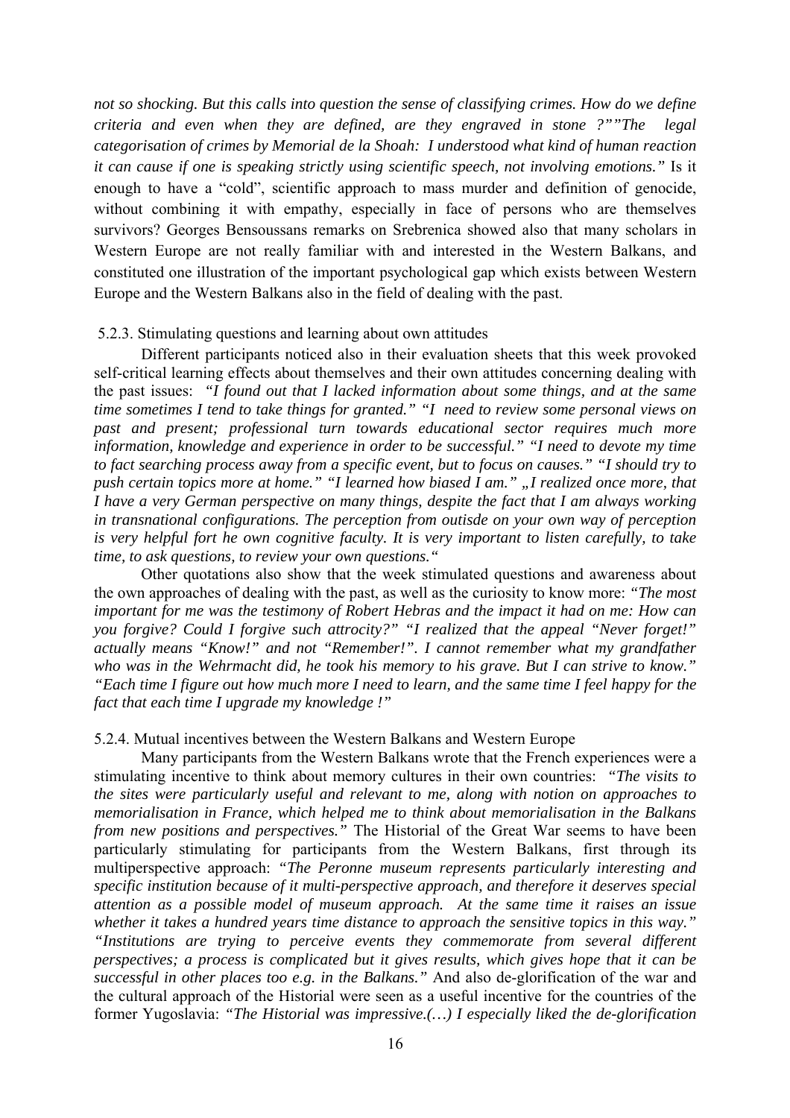*not so shocking. But this calls into question the sense of classifying crimes. How do we define criteria and even when they are defined, are they engraved in stone ?""The legal categorisation of crimes by Memorial de la Shoah: I understood what kind of human reaction it can cause if one is speaking strictly using scientific speech, not involving emotions."* Is it enough to have a "cold", scientific approach to mass murder and definition of genocide, without combining it with empathy, especially in face of persons who are themselves survivors? Georges Bensoussans remarks on Srebrenica showed also that many scholars in Western Europe are not really familiar with and interested in the Western Balkans, and constituted one illustration of the important psychological gap which exists between Western Europe and the Western Balkans also in the field of dealing with the past.

#### 5.2.3. Stimulating questions and learning about own attitudes

Different participants noticed also in their evaluation sheets that this week provoked self-critical learning effects about themselves and their own attitudes concerning dealing with the past issues: *"I found out that I lacked information about some things, and at the same time sometimes I tend to take things for granted." "I need to review some personal views on past and present; professional turn towards educational sector requires much more information, knowledge and experience in order to be successful." "I need to devote my time to fact searching process away from a specific event, but to focus on causes." "I should try to push certain topics more at home." "I learned how biased I am." "I realized once more, that I have a very German perspective on many things, despite the fact that I am always working in transnational configurations. The perception from outisde on your own way of perception is very helpful fort he own cognitive faculty. It is very important to listen carefully, to take time, to ask questions, to review your own questions."* 

Other quotations also show that the week stimulated questions and awareness about the own approaches of dealing with the past, as well as the curiosity to know more: *"The most important for me was the testimony of Robert Hebras and the impact it had on me: How can you forgive? Could I forgive such attrocity?" "I realized that the appeal "Never forget!" actually means "Know!" and not "Remember!". I cannot remember what my grandfather who was in the Wehrmacht did, he took his memory to his grave. But I can strive to know." "Each time I figure out how much more I need to learn, and the same time I feel happy for the fact that each time I upgrade my knowledge !"*

#### 5.2.4. Mutual incentives between the Western Balkans and Western Europe

Many participants from the Western Balkans wrote that the French experiences were a stimulating incentive to think about memory cultures in their own countries: *"The visits to the sites were particularly useful and relevant to me, along with notion on approaches to memorialisation in France, which helped me to think about memorialisation in the Balkans from new positions and perspectives."* The Historial of the Great War seems to have been particularly stimulating for participants from the Western Balkans, first through its multiperspective approach: *"The Peronne museum represents particularly interesting and specific institution because of it multi-perspective approach, and therefore it deserves special attention as a possible model of museum approach. At the same time it raises an issue whether it takes a hundred years time distance to approach the sensitive topics in this way." "Institutions are trying to perceive events they commemorate from several different perspectives; a process is complicated but it gives results, which gives hope that it can be successful in other places too e.g. in the Balkans."* And also de-glorification of the war and the cultural approach of the Historial were seen as a useful incentive for the countries of the former Yugoslavia: *"The Historial was impressive.(…) I especially liked the de-glorification*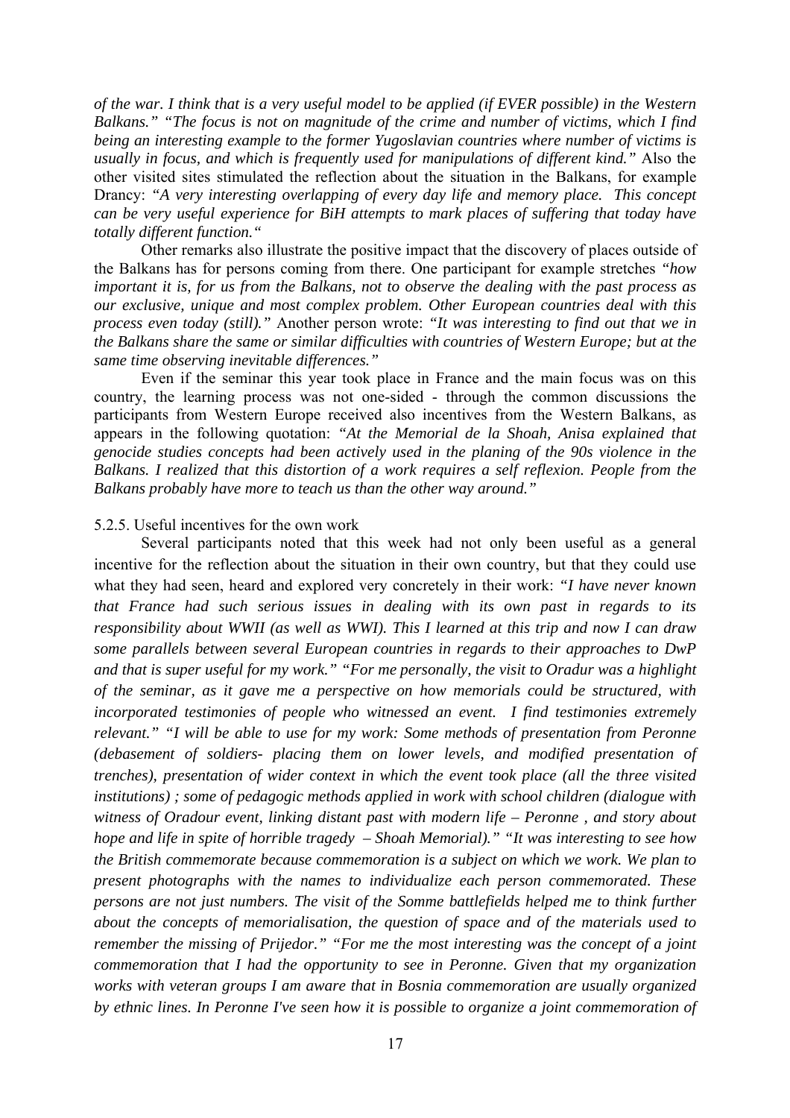*of the war. I think that is a very useful model to be applied (if EVER possible) in the Western Balkans." "The focus is not on magnitude of the crime and number of victims, which I find being an interesting example to the former Yugoslavian countries where number of victims is usually in focus, and which is frequently used for manipulations of different kind."* Also the other visited sites stimulated the reflection about the situation in the Balkans, for example Drancy: *"A very interesting overlapping of every day life and memory place. This concept can be very useful experience for BiH attempts to mark places of suffering that today have totally different function."*

Other remarks also illustrate the positive impact that the discovery of places outside of the Balkans has for persons coming from there. One participant for example stretches *"how important it is, for us from the Balkans, not to observe the dealing with the past process as our exclusive, unique and most complex problem. Other European countries deal with this process even today (still)."* Another person wrote: *"It was interesting to find out that we in the Balkans share the same or similar difficulties with countries of Western Europe; but at the same time observing inevitable differences."*

Even if the seminar this year took place in France and the main focus was on this country, the learning process was not one-sided - through the common discussions the participants from Western Europe received also incentives from the Western Balkans, as appears in the following quotation: *"At the Memorial de la Shoah, Anisa explained that genocide studies concepts had been actively used in the planing of the 90s violence in the Balkans. I realized that this distortion of a work requires a self reflexion. People from the Balkans probably have more to teach us than the other way around."*

#### 5.2.5. Useful incentives for the own work

Several participants noted that this week had not only been useful as a general incentive for the reflection about the situation in their own country, but that they could use what they had seen, heard and explored very concretely in their work: *"I have never known that France had such serious issues in dealing with its own past in regards to its responsibility about WWII (as well as WWI). This I learned at this trip and now I can draw some parallels between several European countries in regards to their approaches to DwP and that is super useful for my work." "For me personally, the visit to Oradur was a highlight of the seminar, as it gave me a perspective on how memorials could be structured, with incorporated testimonies of people who witnessed an event. I find testimonies extremely relevant." "I will be able to use for my work: Some methods of presentation from Peronne (debasement of soldiers- placing them on lower levels, and modified presentation of trenches), presentation of wider context in which the event took place (all the three visited institutions) ; some of pedagogic methods applied in work with school children (dialogue with witness of Oradour event, linking distant past with modern life – Peronne , and story about hope and life in spite of horrible tragedy – Shoah Memorial)." "It was interesting to see how the British commemorate because commemoration is a subject on which we work. We plan to present photographs with the names to individualize each person commemorated. These persons are not just numbers. The visit of the Somme battlefields helped me to think further about the concepts of memorialisation, the question of space and of the materials used to remember the missing of Prijedor." "For me the most interesting was the concept of a joint commemoration that I had the opportunity to see in Peronne. Given that my organization works with veteran groups I am aware that in Bosnia commemoration are usually organized by ethnic lines. In Peronne I've seen how it is possible to organize a joint commemoration of*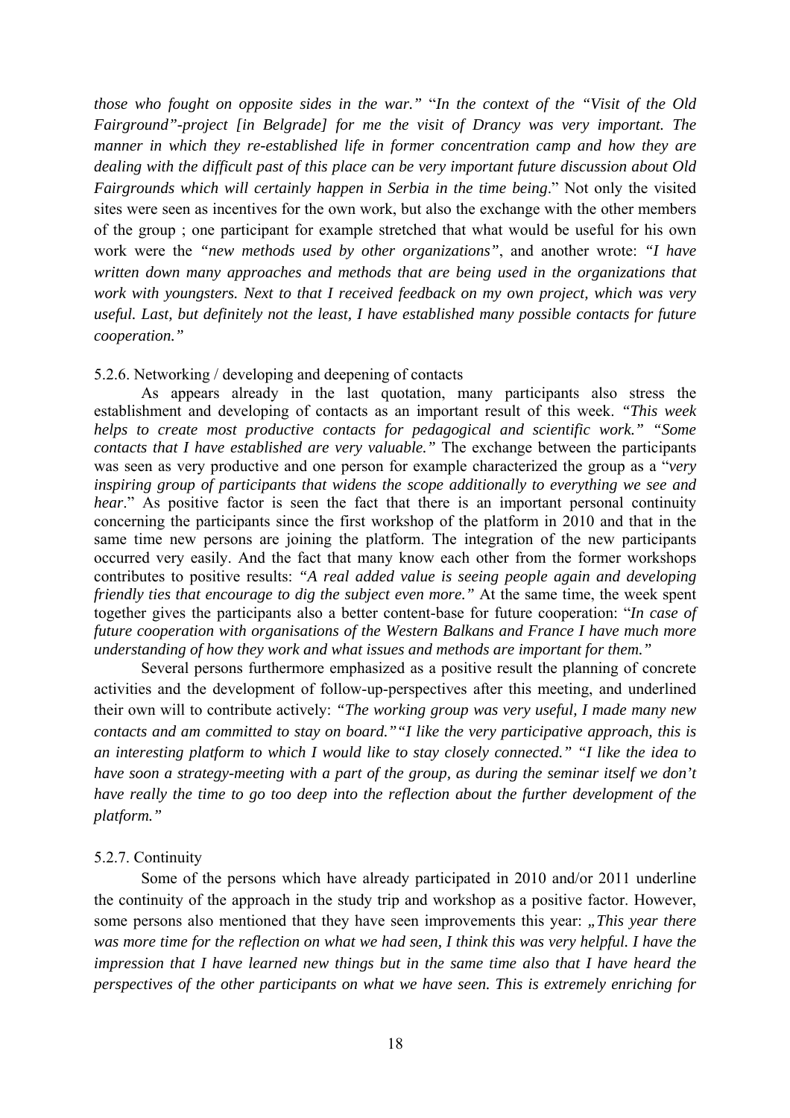*those who fought on opposite sides in the war."* "*In the context of the "Visit of the Old Fairground"-project [in Belgrade] for me the visit of Drancy was very important. The manner in which they re-established life in former concentration camp and how they are dealing with the difficult past of this place can be very important future discussion about Old Fairgrounds which will certainly happen in Serbia in the time being*." Not only the visited sites were seen as incentives for the own work, but also the exchange with the other members of the group ; one participant for example stretched that what would be useful for his own work were the *"new methods used by other organizations"*, and another wrote: *"I have written down many approaches and methods that are being used in the organizations that work with youngsters. Next to that I received feedback on my own project, which was very useful. Last, but definitely not the least, I have established many possible contacts for future cooperation."*

#### 5.2.6. Networking / developing and deepening of contacts

As appears already in the last quotation, many participants also stress the establishment and developing of contacts as an important result of this week. *"This week helps to create most productive contacts for pedagogical and scientific work." "Some contacts that I have established are very valuable."* The exchange between the participants was seen as very productive and one person for example characterized the group as a "*very inspiring group of participants that widens the scope additionally to everything we see and hear*." As positive factor is seen the fact that there is an important personal continuity concerning the participants since the first workshop of the platform in 2010 and that in the same time new persons are joining the platform. The integration of the new participants occurred very easily. And the fact that many know each other from the former workshops contributes to positive results: *"A real added value is seeing people again and developing friendly ties that encourage to dig the subject even more."* At the same time, the week spent together gives the participants also a better content-base for future cooperation: "*In case of future cooperation with organisations of the Western Balkans and France I have much more understanding of how they work and what issues and methods are important for them."*

Several persons furthermore emphasized as a positive result the planning of concrete activities and the development of follow-up-perspectives after this meeting, and underlined their own will to contribute actively: *"The working group was very useful, I made many new contacts and am committed to stay on board.""I like the very participative approach, this is an interesting platform to which I would like to stay closely connected." "I like the idea to have soon a strategy-meeting with a part of the group, as during the seminar itself we don't have really the time to go too deep into the reflection about the further development of the platform."* 

#### 5.2.7. Continuity

Some of the persons which have already participated in 2010 and/or 2011 underline the continuity of the approach in the study trip and workshop as a positive factor. However, some persons also mentioned that they have seen improvements this year: "This year there *was more time for the reflection on what we had seen, I think this was very helpful. I have the impression that I have learned new things but in the same time also that I have heard the perspectives of the other participants on what we have seen. This is extremely enriching for*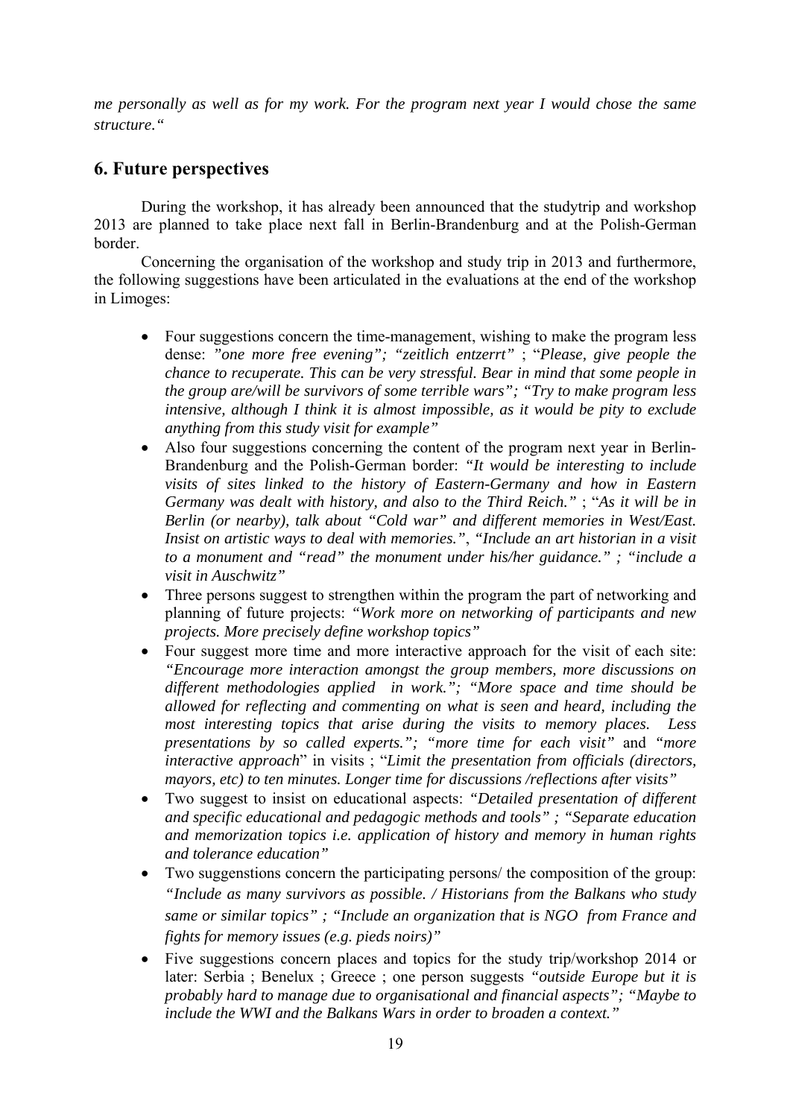*me personally as well as for my work. For the program next year I would chose the same structure."*

# **6. Future perspectives**

During the workshop, it has already been announced that the studytrip and workshop 2013 are planned to take place next fall in Berlin-Brandenburg and at the Polish-German border.

Concerning the organisation of the workshop and study trip in 2013 and furthermore, the following suggestions have been articulated in the evaluations at the end of the workshop in Limoges:

- Four suggestions concern the time-management, wishing to make the program less dense: *"one more free evening"; "zeitlich entzerrt"* ; "*Please, give people the chance to recuperate. This can be very stressful. Bear in mind that some people in the group are/will be survivors of some terrible wars"; "Try to make program less intensive, although I think it is almost impossible, as it would be pity to exclude anything from this study visit for example"*
- Also four suggestions concerning the content of the program next year in Berlin-Brandenburg and the Polish-German border: *"It would be interesting to include visits of sites linked to the history of Eastern-Germany and how in Eastern Germany was dealt with history, and also to the Third Reich."* ; "*As it will be in Berlin (or nearby), talk about "Cold war" and different memories in West/East. Insist on artistic ways to deal with memories."*, *"Include an art historian in a visit to a monument and "read" the monument under his/her guidance." ; "include a visit in Auschwitz"*
- Three persons suggest to strengthen within the program the part of networking and planning of future projects: *"Work more on networking of participants and new projects. More precisely define workshop topics"*
- Four suggest more time and more interactive approach for the visit of each site: *"Encourage more interaction amongst the group members, more discussions on different methodologies applied in work."; "More space and time should be allowed for reflecting and commenting on what is seen and heard, including the most interesting topics that arise during the visits to memory places. Less presentations by so called experts."; "more time for each visit"* and *"more interactive approach*" in visits ; "*Limit the presentation from officials (directors, mayors, etc) to ten minutes. Longer time for discussions /reflections after visits"*
- Two suggest to insist on educational aspects: *"Detailed presentation of different and specific educational and pedagogic methods and tools" ; "Separate education and memorization topics i.e. application of history and memory in human rights and tolerance education"*
- Two suggenstions concern the participating persons/ the composition of the group: *"Include as many survivors as possible. / Historians from the Balkans who study same or similar topics" ; "Include an organization that is NGO from France and fights for memory issues (e.g. pieds noirs)"*
- Five suggestions concern places and topics for the study trip/workshop 2014 or later: Serbia ; Benelux ; Greece ; one person suggests *"outside Europe but it is probably hard to manage due to organisational and financial aspects"; "Maybe to include the WWI and the Balkans Wars in order to broaden a context."*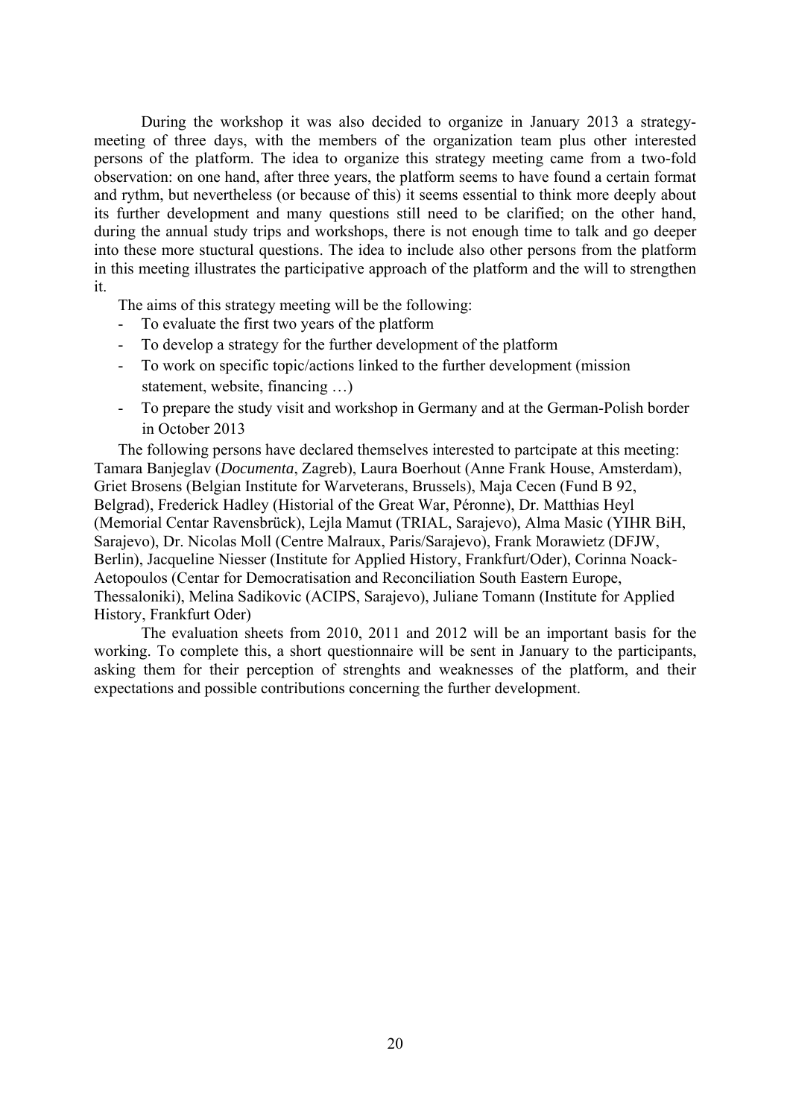During the workshop it was also decided to organize in January 2013 a strategymeeting of three days, with the members of the organization team plus other interested persons of the platform. The idea to organize this strategy meeting came from a two-fold observation: on one hand, after three years, the platform seems to have found a certain format and rythm, but nevertheless (or because of this) it seems essential to think more deeply about its further development and many questions still need to be clarified; on the other hand, during the annual study trips and workshops, there is not enough time to talk and go deeper into these more stuctural questions. The idea to include also other persons from the platform in this meeting illustrates the participative approach of the platform and the will to strengthen it.

The aims of this strategy meeting will be the following:

- To evaluate the first two years of the platform
- To develop a strategy for the further development of the platform
- To work on specific topic/actions linked to the further development (mission statement, website, financing …)
- To prepare the study visit and workshop in Germany and at the German-Polish border in October 2013

The following persons have declared themselves interested to partcipate at this meeting: Tamara Banjeglav (*Documenta*, Zagreb), Laura Boerhout (Anne Frank House, Amsterdam), Griet Brosens (Belgian Institute for Warveterans, Brussels), Maja Cecen (Fund B 92, Belgrad), Frederick Hadley (Historial of the Great War, Péronne), Dr. Matthias Heyl (Memorial Centar Ravensbrück), Lejla Mamut (TRIAL, Sarajevo), Alma Masic (YIHR BiH, Sarajevo), Dr. Nicolas Moll (Centre Malraux, Paris/Sarajevo), Frank Morawietz (DFJW, Berlin), Jacqueline Niesser (Institute for Applied History, Frankfurt/Oder), Corinna Noack-Aetopoulos (Centar for Democratisation and Reconciliation South Eastern Europe, Thessaloniki), Melina Sadikovic (ACIPS, Sarajevo), Juliane Tomann (Institute for Applied History, Frankfurt Oder)

The evaluation sheets from 2010, 2011 and 2012 will be an important basis for the working. To complete this, a short questionnaire will be sent in January to the participants, asking them for their perception of strenghts and weaknesses of the platform, and their expectations and possible contributions concerning the further development.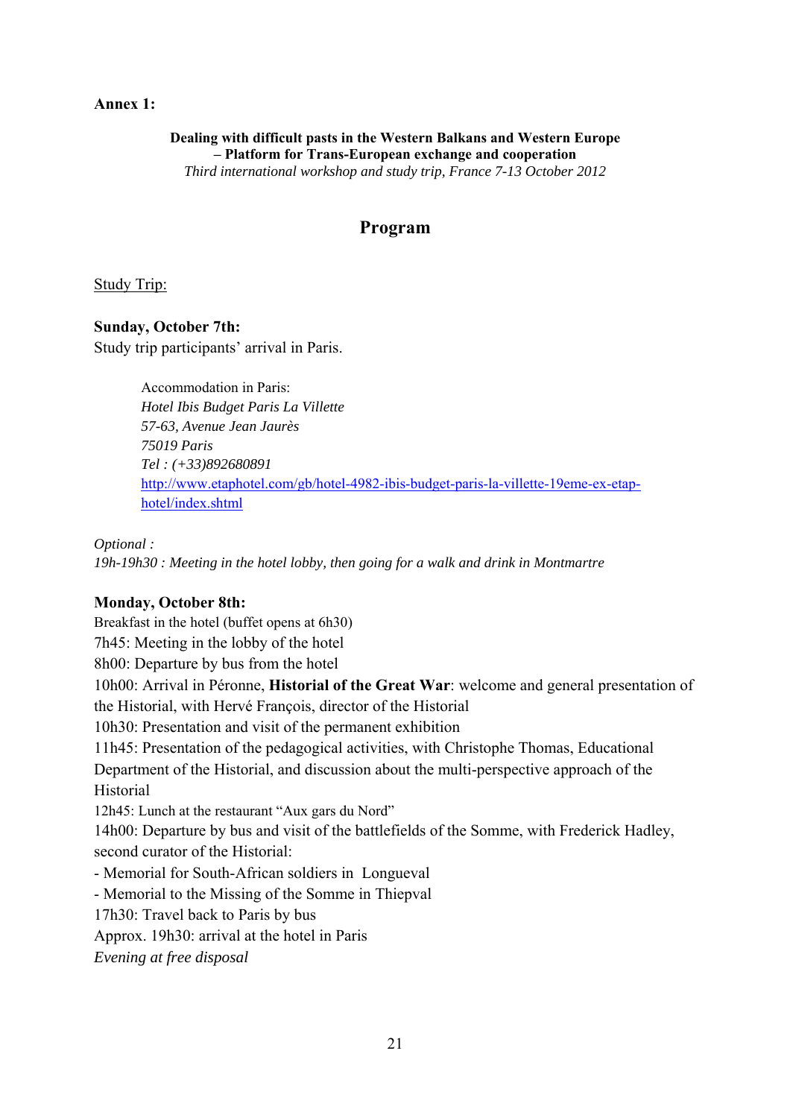#### **Annex 1:**

**Dealing with difficult pasts in the Western Balkans and Western Europe – Platform for Trans-European exchange and cooperation**  *Third international workshop and study trip, France 7-13 October 2012* 

# **Program**

Study Trip:

**Sunday, October 7th:**  Study trip participants' arrival in Paris.

> Accommodation in Paris: *Hotel Ibis Budget Paris La Villette 57-63, Avenue Jean Jaurès 75019 Paris Tel : (+33)892680891*  http://www.etaphotel.com/gb/hotel-4982-ibis-budget-paris-la-villette-19eme-ex-etaphotel/index.shtml

*Optional :* 

*19h-19h30 : Meeting in the hotel lobby, then going for a walk and drink in Montmartre* 

#### **Monday, October 8th:**

Breakfast in the hotel (buffet opens at 6h30) 7h45: Meeting in the lobby of the hotel 8h00: Departure by bus from the hotel 10h00: Arrival in Péronne, **Historial of the Great War**: welcome and general presentation of the Historial, with Hervé François, director of the Historial 10h30: Presentation and visit of the permanent exhibition 11h45: Presentation of the pedagogical activities, with Christophe Thomas, Educational Department of the Historial, and discussion about the multi-perspective approach of the Historial 12h45: Lunch at the restaurant "Aux gars du Nord" 14h00: Departure by bus and visit of the battlefields of the Somme, with Frederick Hadley, second curator of the Historial: - Memorial for South-African soldiers in Longueval - Memorial to the Missing of the Somme in Thiepval 17h30: Travel back to Paris by bus Approx. 19h30: arrival at the hotel in Paris *Evening at free disposal*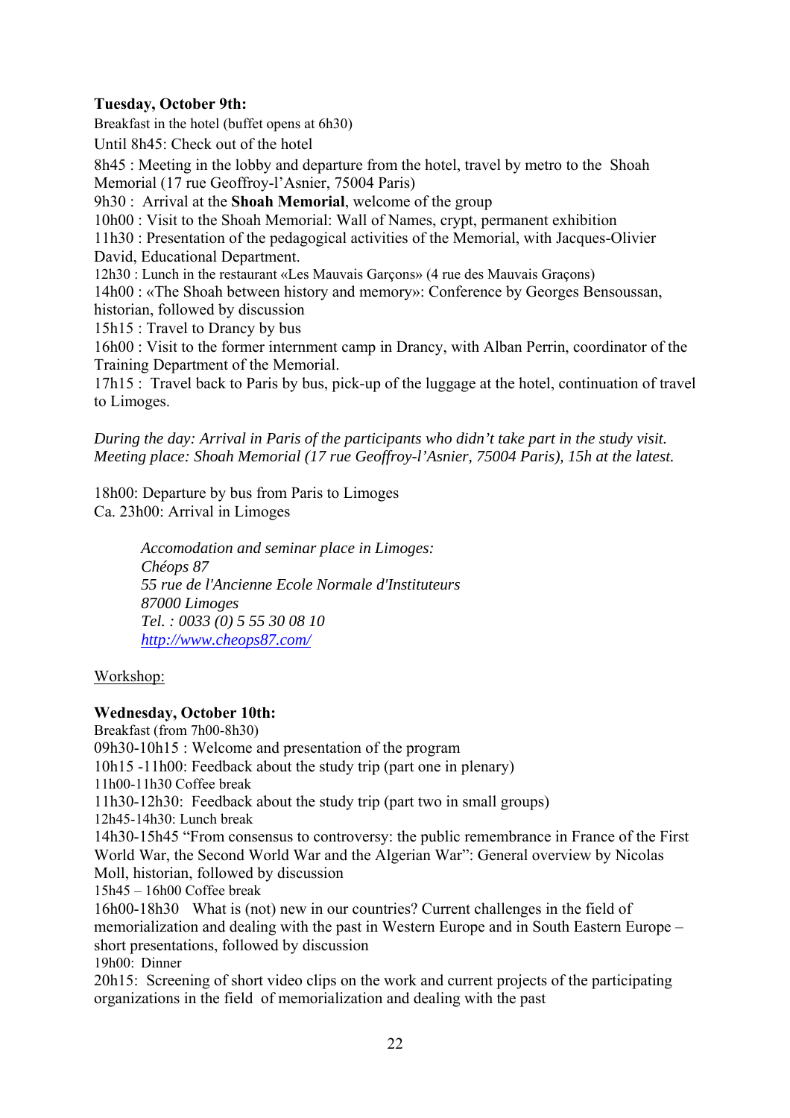# **Tuesday, October 9th:**

Breakfast in the hotel (buffet opens at 6h30) Until 8h45: Check out of the hotel 8h45 : Meeting in the lobby and departure from the hotel, travel by metro to the Shoah Memorial (17 rue Geoffroy-l'Asnier, 75004 Paris) 9h30 : Arrival at the **Shoah Memorial**, welcome of the group 10h00 : Visit to the Shoah Memorial: Wall of Names, crypt, permanent exhibition

11h30 : Presentation of the pedagogical activities of the Memorial, with Jacques-Olivier David, Educational Department.

12h30 : Lunch in the restaurant «Les Mauvais Garçons» (4 rue des Mauvais Graçons)

14h00 : «The Shoah between history and memory»: Conference by Georges Bensoussan, historian, followed by discussion

15h15 : Travel to Drancy by bus

16h00 : Visit to the former internment camp in Drancy, with Alban Perrin, coordinator of the Training Department of the Memorial.

17h15 : Travel back to Paris by bus, pick-up of the luggage at the hotel, continuation of travel to Limoges.

*During the day: Arrival in Paris of the participants who didn't take part in the study visit. Meeting place: Shoah Memorial (17 rue Geoffroy-l'Asnier, 75004 Paris), 15h at the latest.* 

18h00: Departure by bus from Paris to Limoges Ca. 23h00: Arrival in Limoges

> *Accomodation and seminar place in Limoges: Chéops 87 55 rue de l'Ancienne Ecole Normale d'Instituteurs 87000 Limoges Tel. : 0033 (0) 5 55 30 08 10 http://www.cheops87.com/*

#### Workshop:

#### **Wednesday, October 10th:**

Breakfast (from 7h00-8h30) 09h30-10h15 : Welcome and presentation of the program 10h15 -11h00: Feedback about the study trip (part one in plenary) 11h00-11h30 Coffee break 11h30-12h30: Feedback about the study trip (part two in small groups) 12h45-14h30: Lunch break 14h30-15h45 "From consensus to controversy: the public remembrance in France of the First World War, the Second World War and the Algerian War": General overview by Nicolas Moll, historian, followed by discussion 15h45 – 16h00 Coffee break 16h00-18h30 What is (not) new in our countries? Current challenges in the field of memorialization and dealing with the past in Western Europe and in South Eastern Europe – short presentations, followed by discussion 19h00: Dinner 20h15: Screening of short video clips on the work and current projects of the participating organizations in the field of memorialization and dealing with the past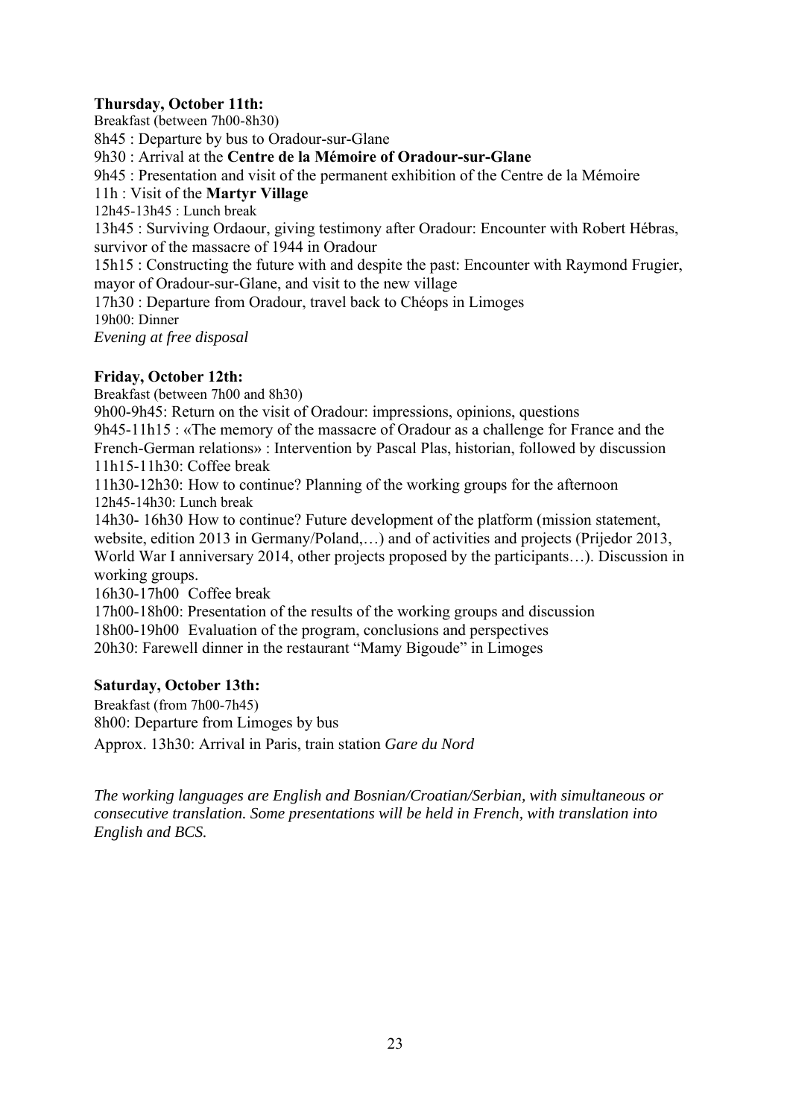# **Thursday, October 11th:**

Breakfast (between 7h00-8h30)

8h45 : Departure by bus to Oradour-sur-Glane

9h30 : Arrival at the **Centre de la Mémoire of Oradour-sur-Glane**

9h45 : Presentation and visit of the permanent exhibition of the Centre de la Mémoire

# 11h : Visit of the **Martyr Village**

12h45-13h45 : Lunch break

13h45 : Surviving Ordaour, giving testimony after Oradour: Encounter with Robert Hébras, survivor of the massacre of 1944 in Oradour

15h15 : Constructing the future with and despite the past: Encounter with Raymond Frugier, mayor of Oradour-sur-Glane, and visit to the new village

17h30 : Departure from Oradour, travel back to Chéops in Limoges

19h00: Dinner

*Evening at free disposal* 

# **Friday, October 12th:**

Breakfast (between 7h00 and 8h30)

9h00-9h45: Return on the visit of Oradour: impressions, opinions, questions 9h45-11h15 : «The memory of the massacre of Oradour as a challenge for France and the French-German relations» : Intervention by Pascal Plas, historian, followed by discussion

11h15-11h30: Coffee break

11h30-12h30: How to continue? Planning of the working groups for the afternoon 12h45-14h30: Lunch break

14h30- 16h30 How to continue? Future development of the platform (mission statement, website, edition 2013 in Germany/Poland,…) and of activities and projects (Prijedor 2013, World War I anniversary 2014, other projects proposed by the participants…). Discussion in working groups.

16h30-17h00 Coffee break

17h00-18h00: Presentation of the results of the working groups and discussion

18h00-19h00 Evaluation of the program, conclusions and perspectives

20h30: Farewell dinner in the restaurant "Mamy Bigoude" in Limoges

#### **Saturday, October 13th:**

Breakfast (from 7h00-7h45) 8h00: Departure from Limoges by bus

Approx. 13h30: Arrival in Paris, train station *Gare du Nord*

*The working languages are English and Bosnian/Croatian/Serbian, with simultaneous or consecutive translation. Some presentations will be held in French, with translation into English and BCS.*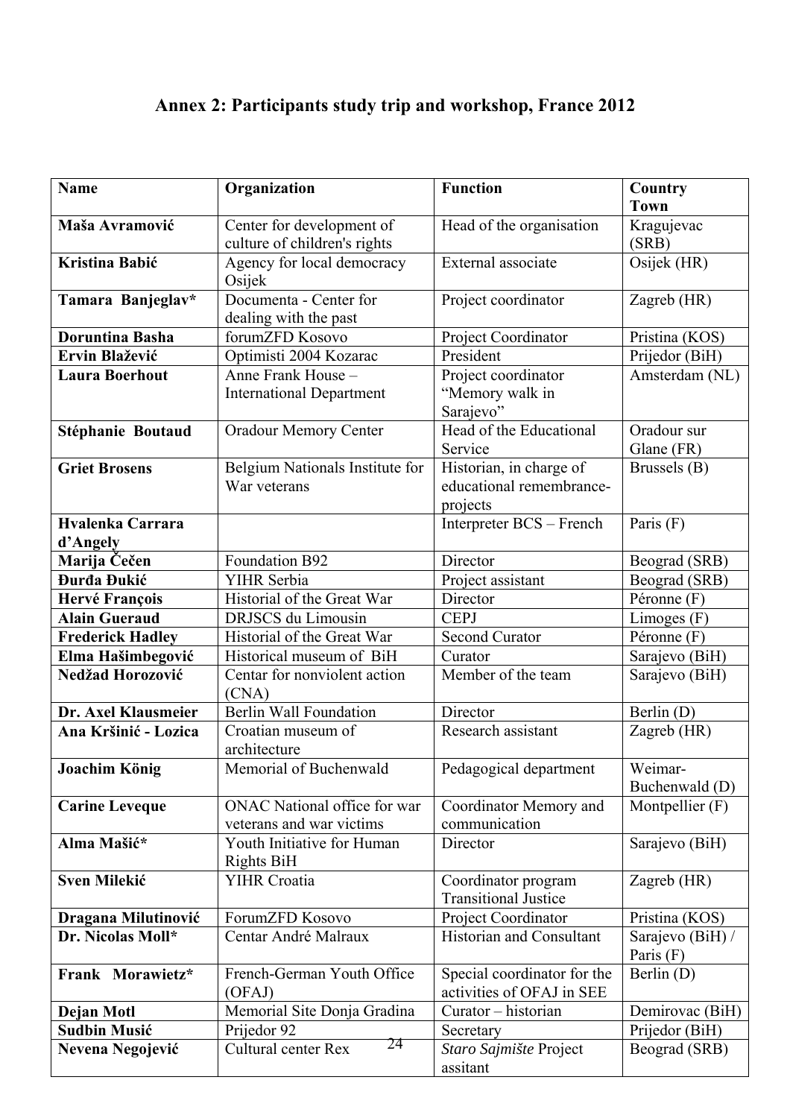# **Annex 2: Participants study trip and workshop, France 2012**

| <b>Name</b>                       | Organization                                    | <b>Function</b>                                    | Country<br><b>Town</b>            |
|-----------------------------------|-------------------------------------------------|----------------------------------------------------|-----------------------------------|
| Maša Avramović                    | Center for development of                       | Head of the organisation                           | Kragujevac                        |
|                                   | culture of children's rights                    |                                                    | (SRB)                             |
| Kristina Babić                    | Agency for local democracy<br>Osijek            | External associate                                 | Osijek (HR)                       |
| Tamara Banjeglav*                 | Documenta - Center for<br>dealing with the past | Project coordinator                                | Zagreb (HR)                       |
| <b>Doruntina Basha</b>            | forumZFD Kosovo                                 | Project Coordinator                                | Pristina (KOS)                    |
| Ervin Blažević                    | Optimisti 2004 Kozarac                          | President                                          | Prijedor (BiH)                    |
| <b>Laura Boerhout</b>             | Anne Frank House -                              | Project coordinator                                | Amsterdam (NL)                    |
|                                   | <b>International Department</b>                 | "Memory walk in<br>Sarajevo"                       |                                   |
| Stéphanie Boutaud                 | <b>Oradour Memory Center</b>                    | Head of the Educational                            | Oradour sur                       |
|                                   |                                                 | Service                                            | Glane (FR)                        |
| <b>Griet Brosens</b>              | Belgium Nationals Institute for                 | Historian, in charge of                            | Brussels (B)                      |
|                                   | War veterans                                    | educational remembrance-                           |                                   |
|                                   |                                                 | projects                                           |                                   |
| Hvalenka Carrara<br>d'Angely      |                                                 | Interpreter BCS - French                           | Paris $(F)$                       |
| Marija Čečen                      | Foundation B92                                  | Director                                           | Beograd (SRB)                     |
| Đurđa Đukić                       | YIHR Serbia                                     | Project assistant                                  | Beograd (SRB)                     |
| Hervé François                    | Historial of the Great War                      | Director                                           | Péronne (F)                       |
| <b>Alain Gueraud</b>              | DRJSCS du Limousin                              | <b>CEPJ</b>                                        | Limoges $(F)$                     |
| <b>Frederick Hadley</b>           | Historial of the Great War                      | <b>Second Curator</b>                              | Péronne (F)                       |
| Elma Hašimbegović                 | Historical museum of BiH                        | Curator                                            | Sarajevo (BiH)                    |
| Nedžad Horozović                  | Centar for nonviolent action<br>(CNA)           | Member of the team                                 | Sarajevo (BiH)                    |
| Dr. Axel Klausmeier               | <b>Berlin Wall Foundation</b>                   | Director                                           | Berlin (D)                        |
| Ana Kršinić - Lozica              | Croatian museum of<br>architecture              | Research assistant                                 | Zagreb (HR)                       |
| Joachim König                     | Memorial of Buchenwald                          | Pedagogical department                             | Weimar-                           |
|                                   |                                                 |                                                    | Buchenwald (D)                    |
| <b>Carine Leveque</b>             | <b>ONAC National office for war</b>             | Coordinator Memory and                             | Montpellier (F)                   |
|                                   | veterans and war victims                        | communication                                      |                                   |
| Alma Mašić*                       | Youth Initiative for Human                      | Director                                           | Sarajevo (BiH)                    |
|                                   | Rights BiH<br><b>YIHR Croatia</b>               |                                                    |                                   |
| <b>Sven Milekić</b>               |                                                 | Coordinator program<br><b>Transitional Justice</b> | Zagreb (HR)                       |
| Dragana Milutinović               | ForumZFD Kosovo                                 | Project Coordinator                                | Pristina (KOS)                    |
| Dr. Nicolas Moll*                 | Centar André Malraux                            | <b>Historian and Consultant</b>                    | Sarajevo (BiH) /<br>Paris $(F)$   |
| Frank Morawietz*                  | French-German Youth Office                      | Special coordinator for the                        | Berlin (D)                        |
|                                   | (OFAJ)<br>Memorial Site Donja Gradina           | activities of OFAJ in SEE                          |                                   |
| Dejan Motl<br><b>Sudbin Musić</b> | Prijedor 92                                     | Curator - historian                                | Demirovac (BiH)<br>Prijedor (BiH) |
|                                   | 24<br>Cultural center Rex                       | Secretary<br>Staro Sajmište Project                | Beograd (SRB)                     |
| Nevena Negojević                  |                                                 | assitant                                           |                                   |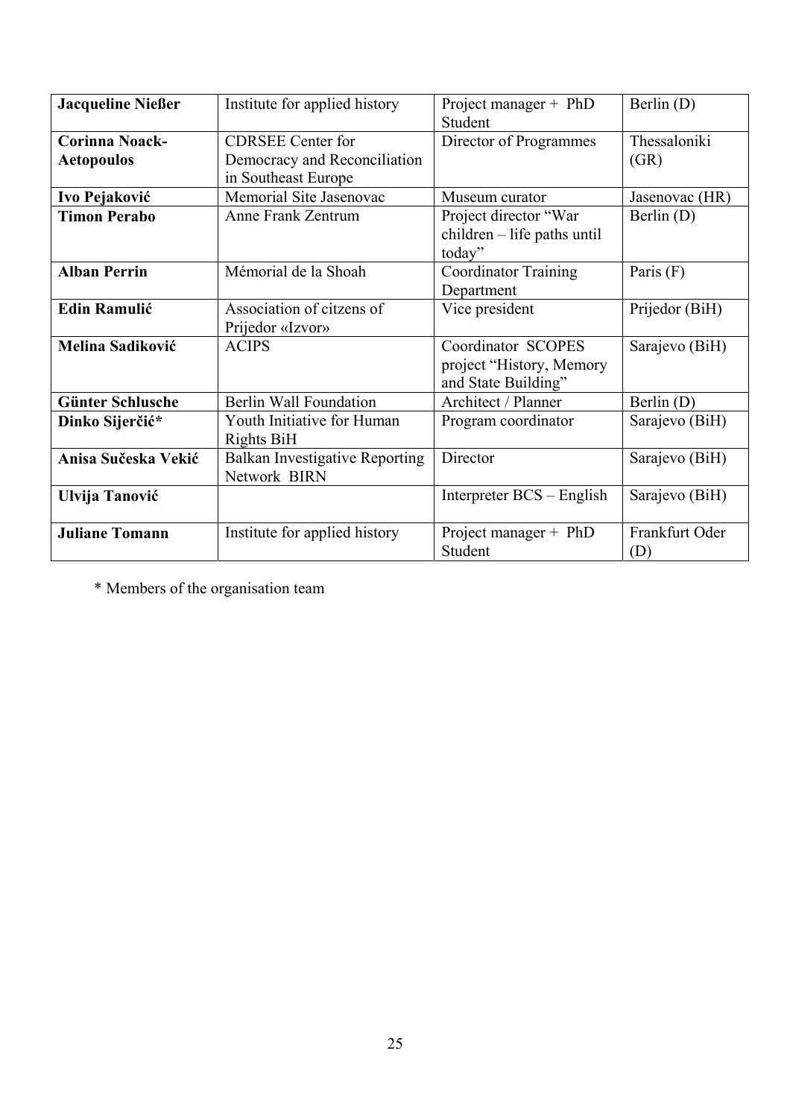| <b>Jacqueline Nießer</b> | Institute for applied history         | Project manager + PhD         | Berlin $(D)$   |
|--------------------------|---------------------------------------|-------------------------------|----------------|
|                          |                                       | Student                       |                |
| <b>Corinna Noack-</b>    | <b>CDRSEE</b> Center for              | Director of Programmes        | Thessaloniki   |
| <b>Aetopoulos</b>        | Democracy and Reconciliation          |                               | (GR)           |
|                          | in Southeast Europe                   |                               |                |
| Ivo Pejaković            | Memorial Site Jasenovac               | Museum curator                | Jasenovac (HR) |
| <b>Timon Perabo</b>      | Anne Frank Zentrum                    | Project director "War         | Berlin $(D)$   |
|                          |                                       | $children - life$ paths until |                |
|                          |                                       | today"                        |                |
| <b>Alban Perrin</b>      | Mémorial de la Shoah                  | <b>Coordinator Training</b>   | Paris (F)      |
|                          |                                       | Department                    |                |
| <b>Edin Ramulić</b>      | Association of citzens of             | Vice president                | Prijedor (BiH) |
|                          | Prijedor «Izvor»                      |                               |                |
| Melina Sadiković         | <b>ACIPS</b>                          | Coordinator SCOPES            | Sarajevo (BiH) |
|                          |                                       | project "History, Memory      |                |
|                          |                                       | and State Building"           |                |
| <b>Günter Schlusche</b>  | <b>Berlin Wall Foundation</b>         | Architect / Planner           | Berlin (D)     |
| Dinko Sijerčić*          | Youth Initiative for Human            | Program coordinator           | Sarajevo (BiH) |
|                          | <b>Rights BiH</b>                     |                               |                |
| Anisa Sučeska Vekić      | <b>Balkan Investigative Reporting</b> | Director                      | Sarajevo (BiH) |
|                          | Network BIRN                          |                               |                |
| Ulvija Tanović           |                                       | Interpreter BCS – English     | Sarajevo (BiH) |
|                          |                                       |                               |                |
| <b>Juliane Tomann</b>    | Institute for applied history         | Project manager + PhD         | Frankfurt Oder |
|                          |                                       | Student                       | (D)            |

\* Members of the organisation team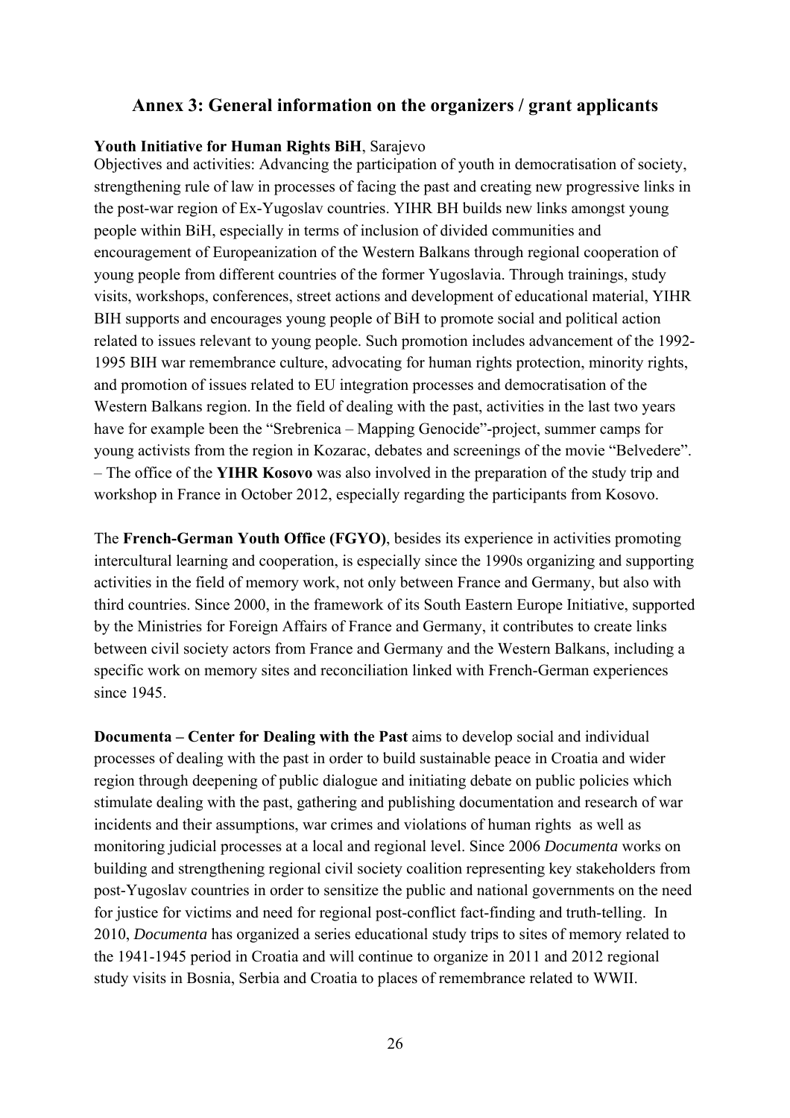### **Annex 3: General information on the organizers / grant applicants**

#### **Youth Initiative for Human Rights BiH**, Sarajevo

Objectives and activities: Advancing the participation of youth in democratisation of society, strengthening rule of law in processes of facing the past and creating new progressive links in the post-war region of Ex-Yugoslav countries. YIHR BH builds new links amongst young people within BiH, especially in terms of inclusion of divided communities and encouragement of Europeanization of the Western Balkans through regional cooperation of young people from different countries of the former Yugoslavia. Through trainings, study visits, workshops, conferences, street actions and development of educational material, YIHR BIH supports and encourages young people of BiH to promote social and political action related to issues relevant to young people. Such promotion includes advancement of the 1992- 1995 BIH war remembrance culture, advocating for human rights protection, minority rights, and promotion of issues related to EU integration processes and democratisation of the Western Balkans region. In the field of dealing with the past, activities in the last two years have for example been the "Srebrenica – Mapping Genocide"-project, summer camps for young activists from the region in Kozarac, debates and screenings of the movie "Belvedere". – The office of the **YIHR Kosovo** was also involved in the preparation of the study trip and workshop in France in October 2012, especially regarding the participants from Kosovo.

The **French-German Youth Office (FGYO)**, besides its experience in activities promoting intercultural learning and cooperation, is especially since the 1990s organizing and supporting activities in the field of memory work, not only between France and Germany, but also with third countries. Since 2000, in the framework of its South Eastern Europe Initiative, supported by the Ministries for Foreign Affairs of France and Germany, it contributes to create links between civil society actors from France and Germany and the Western Balkans, including a specific work on memory sites and reconciliation linked with French-German experiences since 1945.

**Documenta – Center for Dealing with the Past** aims to develop social and individual processes of dealing with the past in order to build sustainable peace in Croatia and wider region through deepening of public dialogue and initiating debate on public policies which stimulate dealing with the past, gathering and publishing documentation and research of war incidents and their assumptions, war crimes and violations of human rights as well as monitoring judicial processes at a local and regional level. Since 2006 *Documenta* works on building and strengthening regional civil society coalition representing key stakeholders from post-Yugoslav countries in order to sensitize the public and national governments on the need for justice for victims and need for regional post-conflict fact-finding and truth-telling. In 2010, *Documenta* has organized a series educational study trips to sites of memory related to the 1941-1945 period in Croatia and will continue to organize in 2011 and 2012 regional study visits in Bosnia, Serbia and Croatia to places of remembrance related to WWII.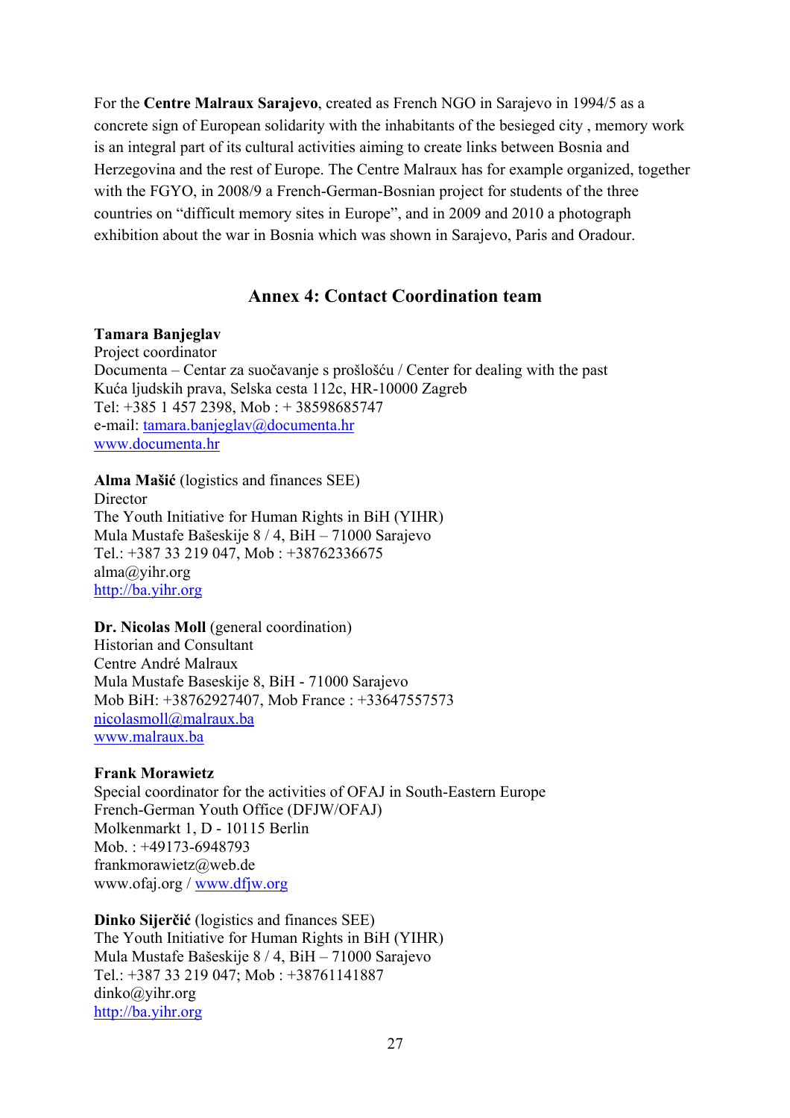For the **Centre Malraux Sarajevo**, created as French NGO in Sarajevo in 1994/5 as a concrete sign of European solidarity with the inhabitants of the besieged city , memory work is an integral part of its cultural activities aiming to create links between Bosnia and Herzegovina and the rest of Europe. The Centre Malraux has for example organized, together with the FGYO, in 2008/9 a French-German-Bosnian project for students of the three countries on "difficult memory sites in Europe", and in 2009 and 2010 a photograph exhibition about the war in Bosnia which was shown in Sarajevo, Paris and Oradour.

# **Annex 4: Contact Coordination team**

#### **Tamara Banjeglav**

Project coordinator Documenta – Centar za suočavanje s prošlošću / Center for dealing with the past Kuća ljudskih prava, Selska cesta 112c, HR-10000 Zagreb Tel: +385 1 457 2398, Mob : + 38598685747 e-mail: tamara.banjeglav@documenta.hr www.documenta.hr

**Alma Mašić** (logistics and finances SEE)

Director The Youth Initiative for Human Rights in BiH (YIHR) Mula Mustafe Bašeskije 8 / 4, BiH – 71000 Sarajevo Tel.: +387 33 219 047, Mob : +38762336675 alma@yihr.org http://ba.yihr.org

**Dr. Nicolas Moll** (general coordination) Historian and Consultant Centre André Malraux Mula Mustafe Baseskije 8, BiH - 71000 Sarajevo Mob BiH: +38762927407, Mob France : +33647557573 nicolasmoll@malraux.ba www.malraux.ba

#### **Frank Morawietz**

Special coordinator for the activities of OFAJ in South-Eastern Europe French-German Youth Office (DFJW/OFAJ) Molkenmarkt 1, D - 10115 Berlin Mob. : +49173-6948793 frankmorawietz@web.de www.ofaj.org / www.dfjw.org

**Dinko Sijerčić** (logistics and finances SEE) The Youth Initiative for Human Rights in BiH (YIHR) Mula Mustafe Bašeskije 8 / 4, BiH – 71000 Sarajevo Tel.: +387 33 219 047; Mob : +38761141887 dinko@yihr.org http://ba.yihr.org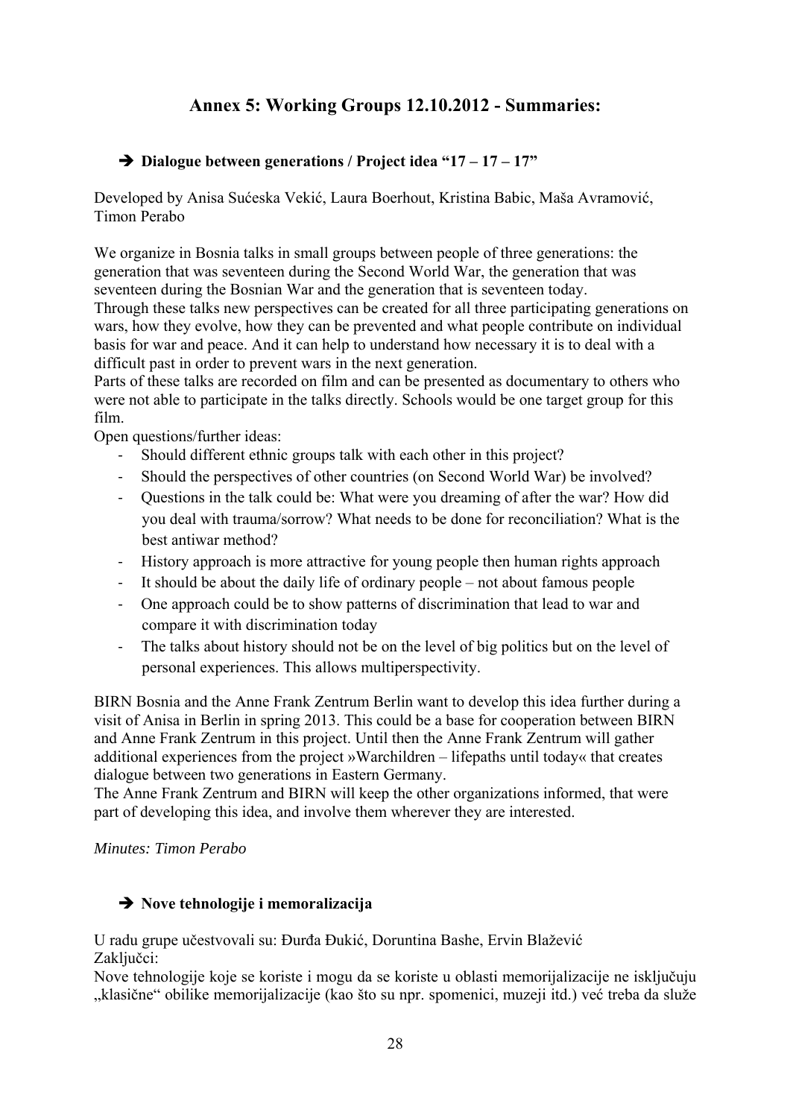# **Annex 5: Working Groups 12.10.2012 - Summaries:**

# → Dialogue between generations / Project idea "17 – 17 – 17"

Developed by Anisa Sućeska Vekić, Laura Boerhout, Kristina Babic, Maša Avramović, Timon Perabo

We organize in Bosnia talks in small groups between people of three generations: the generation that was seventeen during the Second World War, the generation that was seventeen during the Bosnian War and the generation that is seventeen today. Through these talks new perspectives can be created for all three participating generations on

wars, how they evolve, how they can be prevented and what people contribute on individual basis for war and peace. And it can help to understand how necessary it is to deal with a difficult past in order to prevent wars in the next generation.

Parts of these talks are recorded on film and can be presented as documentary to others who were not able to participate in the talks directly. Schools would be one target group for this film.

Open questions/further ideas:

- **‐** Should different ethnic groups talk with each other in this project?
- **‐** Should the perspectives of other countries (on Second World War) be involved?
- **‐** Questions in the talk could be: What were you dreaming of after the war? How did you deal with trauma/sorrow? What needs to be done for reconciliation? What is the best antiwar method?
- **‐** History approach is more attractive for young people then human rights approach
- **‐** It should be about the daily life of ordinary people not about famous people
- **‐** One approach could be to show patterns of discrimination that lead to war and compare it with discrimination today
- **‐** The talks about history should not be on the level of big politics but on the level of personal experiences. This allows multiperspectivity.

BIRN Bosnia and the Anne Frank Zentrum Berlin want to develop this idea further during a visit of Anisa in Berlin in spring 2013. This could be a base for cooperation between BIRN and Anne Frank Zentrum in this project. Until then the Anne Frank Zentrum will gather additional experiences from the project »Warchildren – lifepaths until today« that creates dialogue between two generations in Eastern Germany.

The Anne Frank Zentrum and BIRN will keep the other organizations informed, that were part of developing this idea, and involve them wherever they are interested.

#### *Minutes: Timon Perabo*

# **→** Nove tehnologije i memoralizacija

U radu grupe učestvovali su: Đurđa Đukić, Doruntina Bashe, Ervin Blažević Zaključci:

Nove tehnologije koje se koriste i mogu da se koriste u oblasti memorijalizacije ne isključuju "klasične" obilike memorijalizacije (kao što su npr. spomenici, muzeji itd.) već treba da služe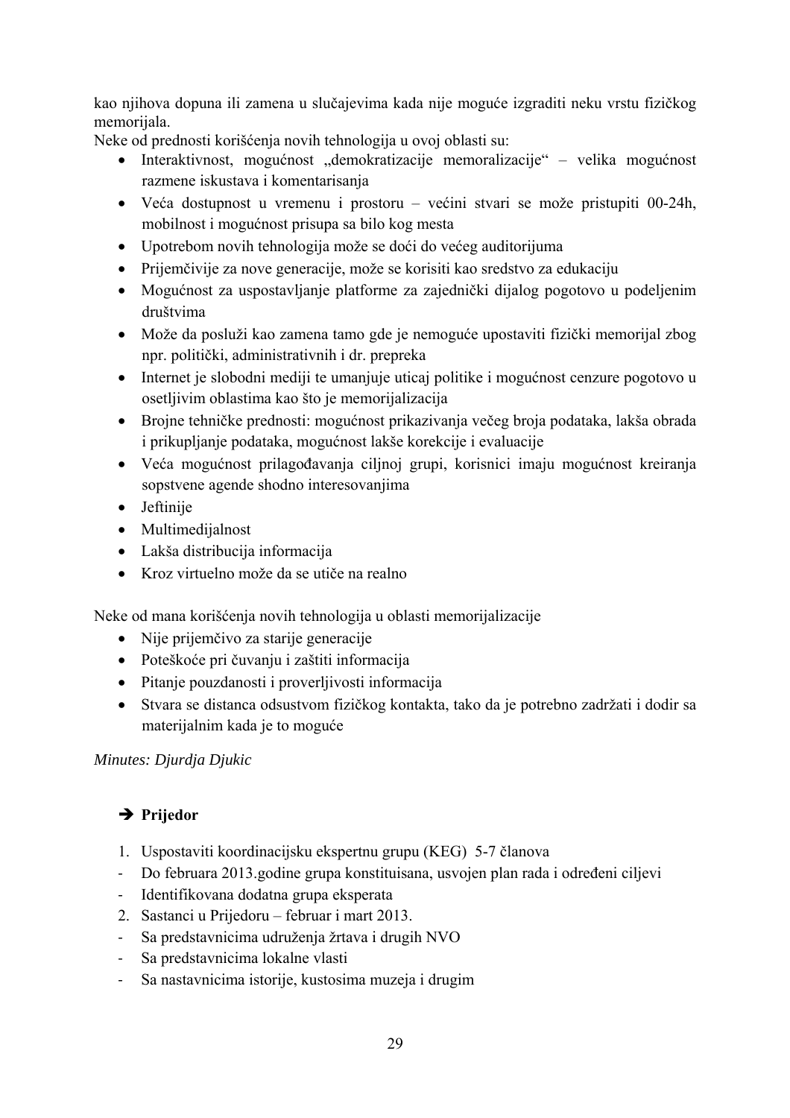kao njihova dopuna ili zamena u slučajevima kada nije moguće izgraditi neku vrstu fizičkog memorijala.

Neke od prednosti korišćenja novih tehnologija u ovoj oblasti su:

- Interaktivnost, mogućnost "demokratizacije memoralizacije" velika mogućnost razmene iskustava i komentarisanja
- Veća dostupnost u vremenu i prostoru većini stvari se može pristupiti 00-24h, mobilnost i mogućnost prisupa sa bilo kog mesta
- Upotrebom novih tehnologija može se doći do većeg auditorijuma
- Prijemčivije za nove generacije, može se korisiti kao sredstvo za edukaciju
- Mogućnost za uspostavljanje platforme za zajednički dijalog pogotovo u podeljenim društvima
- Može da posluži kao zamena tamo gde je nemoguće upostaviti fizički memorijal zbog npr. politički, administrativnih i dr. prepreka
- Internet je slobodni mediji te umanjuje uticaj politike i mogućnost cenzure pogotovo u osetljivim oblastima kao što je memorijalizacija
- Brojne tehničke prednosti: mogućnost prikazivanja večeg broja podataka, lakša obrada i prikupljanje podataka, mogućnost lakše korekcije i evaluacije
- Veća mogućnost prilagođavanja ciljnoj grupi, korisnici imaju mogućnost kreiranja sopstvene agende shodno interesovanjima
- Jeftinije
- Multimedijalnost
- Lakša distribucija informacija
- Kroz virtuelno može da se utiče na realno

Neke od mana korišćenja novih tehnologija u oblasti memorijalizacije

- Nije prijemčivo za starije generacije
- Poteškoće pri čuvanju i zaštiti informacija
- Pitanje pouzdanosti i proverljivosti informacija
- Stvara se distanca odsustvom fizičkog kontakta, tako da je potrebno zadržati i dodir sa materijalnim kada je to moguće

# *Minutes: Djurdja Djukic*

# **→ Prijedor**

- 1. Uspostaviti koordinacijsku ekspertnu grupu (KEG) 5-7 članova
- **‐** Do februara 2013.godine grupa konstituisana, usvojen plan rada i određeni ciljevi
- **‐** Identifikovana dodatna grupa eksperata
- 2. Sastanci u Prijedoru februar i mart 2013.
- **‐** Sa predstavnicima udruženja žrtava i drugih NVO
- **‐** Sa predstavnicima lokalne vlasti
- **‐** Sa nastavnicima istorije, kustosima muzeja i drugim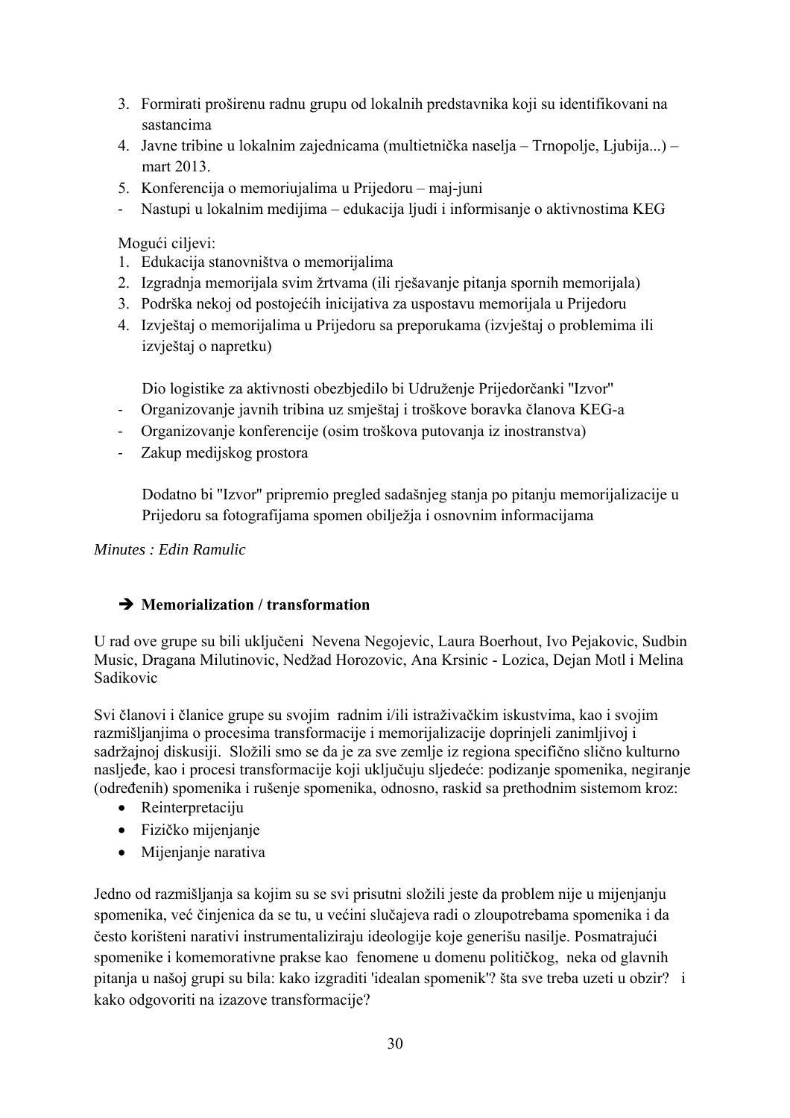- 3. Formirati proširenu radnu grupu od lokalnih predstavnika koji su identifikovani na sastancima
- 4. Javne tribine u lokalnim zajednicama (multietnička naselja Trnopolje, Ljubija...) mart 2013.
- 5. Konferencija o memoriujalima u Prijedoru maj-juni
- **‐** Nastupi u lokalnim medijima edukacija ljudi i informisanje o aktivnostima KEG

Mogući ciljevi:

- 1. Edukacija stanovništva o memorijalima
- 2. Izgradnja memorijala svim žrtvama (ili rješavanje pitanja spornih memorijala)
- 3. Podrška nekoj od postojećih inicijativa za uspostavu memorijala u Prijedoru
- 4. Izvještaj o memorijalima u Prijedoru sa preporukama (izvještaj o problemima ili izvještaj o napretku)

Dio logistike za aktivnosti obezbjedilo bi Udruženje Prijedorčanki ''Izvor''

- **‐** Organizovanje javnih tribina uz smještaj i troškove boravka članova KEG-a
- **‐** Organizovanje konferencije (osim troškova putovanja iz inostranstva)
- **‐** Zakup medijskog prostora

Dodatno bi ''Izvor'' pripremio pregled sadašnjeg stanja po pitanju memorijalizacije u Prijedoru sa fotografijama spomen obilježja i osnovnim informacijama

# *Minutes : Edin Ramulic*

# Î **Memorialization / transformation**

U rad ove grupe su bili uključeni Nevena Negojevic, Laura Boerhout, Ivo Pejakovic, Sudbin Music, Dragana Milutinovic, Nedžad Horozovic, Ana Krsinic - Lozica, Dejan Motl i Melina Sadikovic

Svi članovi i članice grupe su svojim radnim i/ili istraživačkim iskustvima, kao i svojim razmišljanjima o procesima transformacije i memorijalizacije doprinjeli zanimljivoj i sadržajnoj diskusiji. Složili smo se da je za sve zemlje iz regiona specifično slično kulturno nasljeđe, kao i procesi transformacije koji uključuju sljedeće: podizanje spomenika, negiranje (određenih) spomenika i rušenje spomenika, odnosno, raskid sa prethodnim sistemom kroz:

- Reinterpretaciju
- Fizičko mijenjanje
- Mijenjanje narativa

Jedno od razmišljanja sa kojim su se svi prisutni složili jeste da problem nije u mijenjanju spomenika, već činjenica da se tu, u većini slučajeva radi o zloupotrebama spomenika i da često korišteni narativi instrumentaliziraju ideologije koje generišu nasilje. Posmatrajući spomenike i komemorativne prakse kao fenomene u domenu političkog, neka od glavnih pitanja u našoj grupi su bila: kako izgraditi 'idealan spomenik'? šta sve treba uzeti u obzir? i kako odgovoriti na izazove transformacije?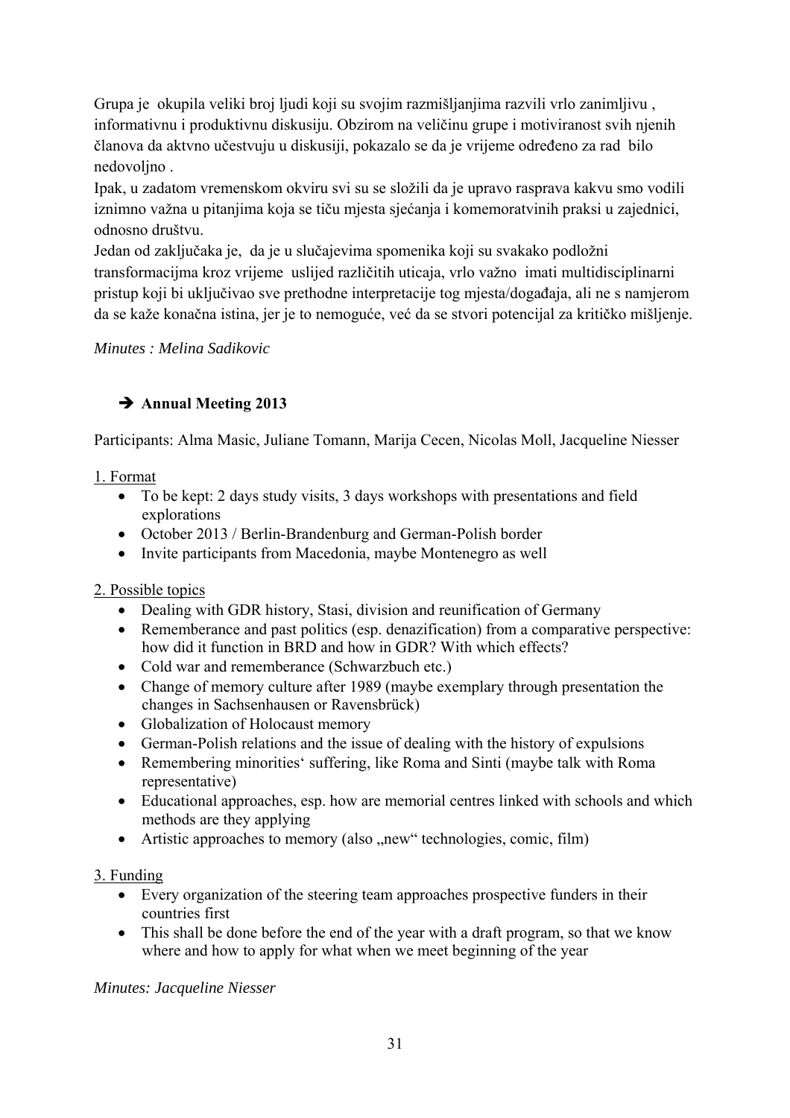Grupa je okupila veliki broj ljudi koji su svojim razmišljanjima razvili vrlo zanimljivu , informativnu i produktivnu diskusiju. Obzirom na veličinu grupe i motiviranost svih njenih članova da aktvno učestvuju u diskusiji, pokazalo se da je vrijeme određeno za rad bilo nedovoljno .

Ipak, u zadatom vremenskom okviru svi su se složili da je upravo rasprava kakvu smo vodili iznimno važna u pitanjima koja se tiču mjesta sjećanja i komemoratvinih praksi u zajednici, odnosno društvu.

Jedan od zaključaka je, da je u slučajevima spomenika koji su svakako podložni transformacijma kroz vrijeme uslijed različitih uticaja, vrlo važno imati multidisciplinarni pristup koji bi uključivao sve prethodne interpretacije tog mjesta/događaja, ali ne s namjerom da se kaže konačna istina, jer je to nemoguće, već da se stvori potencijal za kritičko mišljenje.

*Minutes : Melina Sadikovic* 

# $→$  **Annual Meeting 2013**

Participants: Alma Masic, Juliane Tomann, Marija Cecen, Nicolas Moll, Jacqueline Niesser

# 1. Format

- To be kept: 2 days study visits, 3 days workshops with presentations and field explorations
- October 2013 / Berlin-Brandenburg and German-Polish border
- Invite participants from Macedonia, maybe Montenegro as well

# 2. Possible topics

- Dealing with GDR history, Stasi, division and reunification of Germany
- Rememberance and past politics (esp. denazification) from a comparative perspective: how did it function in BRD and how in GDR? With which effects?
- Cold war and rememberance (Schwarzbuch etc.)
- Change of memory culture after 1989 (maybe exemplary through presentation the changes in Sachsenhausen or Ravensbrück)
- Globalization of Holocaust memory
- German-Polish relations and the issue of dealing with the history of expulsions
- Remembering minorities' suffering, like Roma and Sinti (maybe talk with Roma representative)
- Educational approaches, esp. how are memorial centres linked with schools and which methods are they applying
- Artistic approaches to memory (also  $n$ , new" technologies, comic, film)

# 3. Funding

- Every organization of the steering team approaches prospective funders in their countries first
- This shall be done before the end of the year with a draft program, so that we know where and how to apply for what when we meet beginning of the year

# *Minutes: Jacqueline Niesser*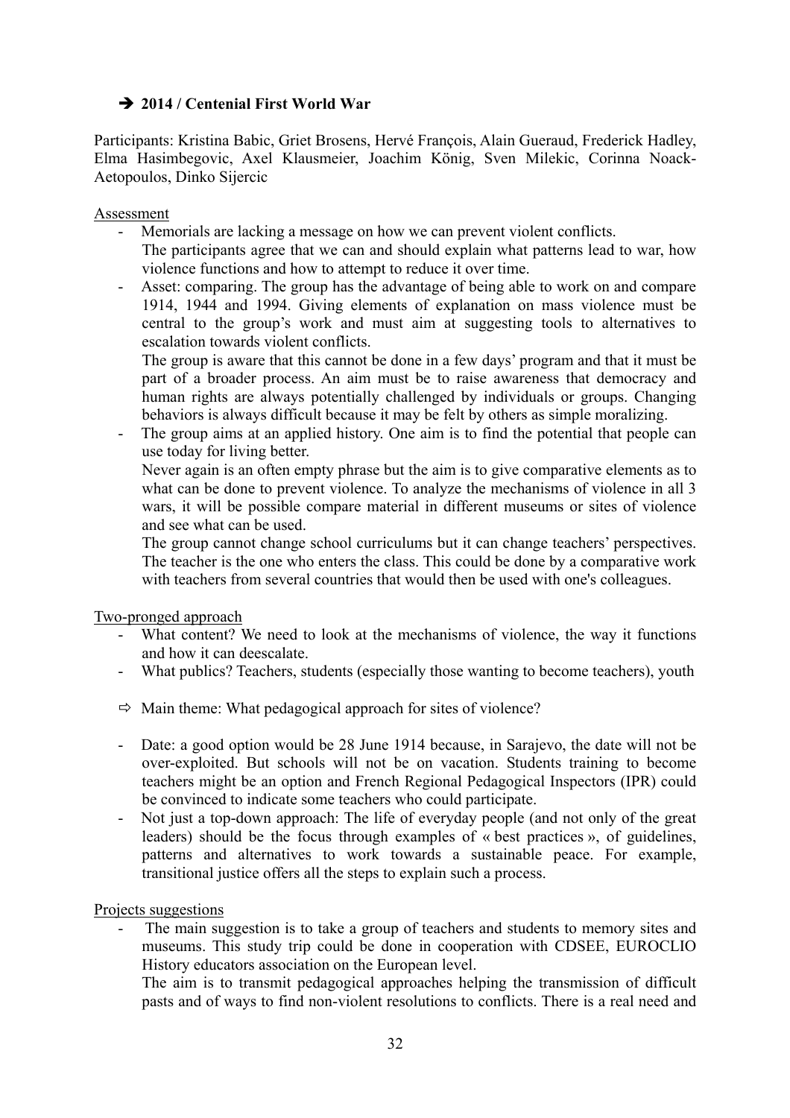# $\rightarrow$  **2014 / Centenial First World War**

Participants: Kristina Babic, Griet Brosens, Hervé François, Alain Gueraud, Frederick Hadley, Elma Hasimbegovic, Axel Klausmeier, Joachim König, Sven Milekic, Corinna Noack-Aetopoulos, Dinko Sijercic

#### Assessment

- Memorials are lacking a message on how we can prevent violent conflicts. The participants agree that we can and should explain what patterns lead to war, how

violence functions and how to attempt to reduce it over time.

- Asset: comparing. The group has the advantage of being able to work on and compare 1914, 1944 and 1994. Giving elements of explanation on mass violence must be central to the group's work and must aim at suggesting tools to alternatives to escalation towards violent conflicts.

The group is aware that this cannot be done in a few days' program and that it must be part of a broader process. An aim must be to raise awareness that democracy and human rights are always potentially challenged by individuals or groups. Changing behaviors is always difficult because it may be felt by others as simple moralizing.

- The group aims at an applied history. One aim is to find the potential that people can use today for living better.

Never again is an often empty phrase but the aim is to give comparative elements as to what can be done to prevent violence. To analyze the mechanisms of violence in all 3 wars, it will be possible compare material in different museums or sites of violence and see what can be used.

The group cannot change school curriculums but it can change teachers' perspectives. The teacher is the one who enters the class. This could be done by a comparative work with teachers from several countries that would then be used with one's colleagues.

Two-pronged approach

- What content? We need to look at the mechanisms of violence, the way it functions and how it can deescalate.
- What publics? Teachers, students (especially those wanting to become teachers), youth
- $\Rightarrow$  Main theme: What pedagogical approach for sites of violence?
- Date: a good option would be 28 June 1914 because, in Sarajevo, the date will not be over-exploited. But schools will not be on vacation. Students training to become teachers might be an option and French Regional Pedagogical Inspectors (IPR) could be convinced to indicate some teachers who could participate.
- Not just a top-down approach: The life of everyday people (and not only of the great leaders) should be the focus through examples of « best practices », of guidelines, patterns and alternatives to work towards a sustainable peace. For example, transitional justice offers all the steps to explain such a process.

#### Projects suggestions

The main suggestion is to take a group of teachers and students to memory sites and museums. This study trip could be done in cooperation with CDSEE, EUROCLIO History educators association on the European level.

The aim is to transmit pedagogical approaches helping the transmission of difficult pasts and of ways to find non-violent resolutions to conflicts. There is a real need and